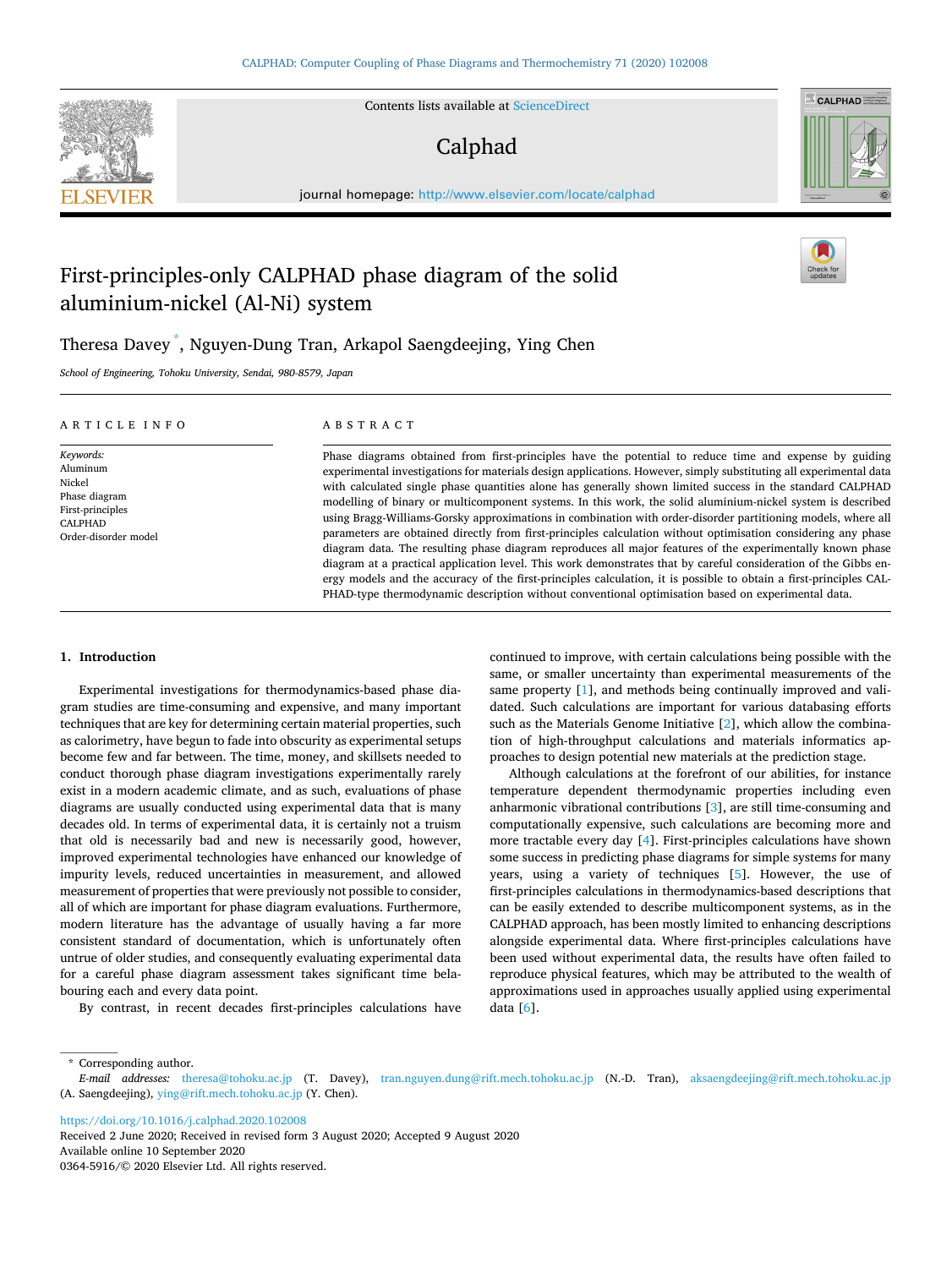

Contents lists available at [ScienceDirect](www.sciencedirect.com/science/journal/03645916)

# Calphad



journal homepage: [http://www.elsevier.com/locate/calphad](https://http://www.elsevier.com/locate/calphad)

# First-principles-only CALPHAD phase diagram of the solid aluminium-nickel (Al-Ni) system

# Theresa Davey \* , Nguyen-Dung Tran, Arkapol Saengdeejing, Ying Chen

*School of Engineering, Tohoku University, Sendai, 980-8579, Japan* 

| ARTICLE INFO                                                                                            | ABSTRACT                                                                                                                                                                                                                                                                                                                                                                                                                                                                                                                                                                                                                                                                                                                                                                                                                                                                                                                                                                                                                                                                                                                                            |  |  |
|---------------------------------------------------------------------------------------------------------|-----------------------------------------------------------------------------------------------------------------------------------------------------------------------------------------------------------------------------------------------------------------------------------------------------------------------------------------------------------------------------------------------------------------------------------------------------------------------------------------------------------------------------------------------------------------------------------------------------------------------------------------------------------------------------------------------------------------------------------------------------------------------------------------------------------------------------------------------------------------------------------------------------------------------------------------------------------------------------------------------------------------------------------------------------------------------------------------------------------------------------------------------------|--|--|
| Keywords:<br>Aluminum<br>Nickel<br>Phase diagram<br>First-principles<br>CALPHAD<br>Order-disorder model | Phase diagrams obtained from first-principles have the potential to reduce time and expense by guiding<br>experimental investigations for materials design applications. However, simply substituting all experimental data<br>with calculated single phase quantities alone has generally shown limited success in the standard CALPHAD<br>modelling of binary or multicomponent systems. In this work, the solid aluminium-nickel system is described<br>using Bragg-Williams-Gorsky approximations in combination with order-disorder partitioning models, where all<br>parameters are obtained directly from first-principles calculation without optimisation considering any phase<br>diagram data. The resulting phase diagram reproduces all major features of the experimentally known phase<br>diagram at a practical application level. This work demonstrates that by careful consideration of the Gibbs en-<br>ergy models and the accuracy of the first-principles calculation, it is possible to obtain a first-principles CAL-<br>PHAD-type thermodynamic description without conventional optimisation based on experimental data. |  |  |

# **1. Introduction**

Experimental investigations for thermodynamics-based phase diagram studies are time-consuming and expensive, and many important techniques that are key for determining certain material properties, such as calorimetry, have begun to fade into obscurity as experimental setups become few and far between. The time, money, and skillsets needed to conduct thorough phase diagram investigations experimentally rarely exist in a modern academic climate, and as such, evaluations of phase diagrams are usually conducted using experimental data that is many decades old. In terms of experimental data, it is certainly not a truism that old is necessarily bad and new is necessarily good, however, improved experimental technologies have enhanced our knowledge of impurity levels, reduced uncertainties in measurement, and allowed measurement of properties that were previously not possible to consider, all of which are important for phase diagram evaluations. Furthermore, modern literature has the advantage of usually having a far more consistent standard of documentation, which is unfortunately often untrue of older studies, and consequently evaluating experimental data for a careful phase diagram assessment takes significant time belabouring each and every data point.

By contrast, in recent decades first-principles calculations have

continued to improve, with certain calculations being possible with the same, or smaller uncertainty than experimental measurements of the same property [[1](#page-14-0)], and methods being continually improved and validated. Such calculations are important for various databasing efforts such as the Materials Genome Initiative [[2](#page-14-0)], which allow the combination of high-throughput calculations and materials informatics approaches to design potential new materials at the prediction stage.

Although calculations at the forefront of our abilities, for instance temperature dependent thermodynamic properties including even anharmonic vibrational contributions [[3](#page-14-0)], are still time-consuming and computationally expensive, such calculations are becoming more and more tractable every day [\[4\]](#page-14-0). First-principles calculations have shown some success in predicting phase diagrams for simple systems for many years, using a variety of techniques [[5](#page-14-0)]. However, the use of first-principles calculations in thermodynamics-based descriptions that can be easily extended to describe multicomponent systems, as in the CALPHAD approach, has been mostly limited to enhancing descriptions alongside experimental data. Where first-principles calculations have been used without experimental data, the results have often failed to reproduce physical features, which may be attributed to the wealth of approximations used in approaches usually applied using experimental data [[6](#page-14-0)].

\* Corresponding author.

<https://doi.org/10.1016/j.calphad.2020.102008>

Available online 10 September 2020 0364-5916/© 2020 Elsevier Ltd. All rights reserved. Received 2 June 2020; Received in revised form 3 August 2020; Accepted 9 August 2020

*E-mail addresses:* [theresa@tohoku.ac.jp](mailto:theresa@tohoku.ac.jp) (T. Davey), [tran.nguyen.dung@rift.mech.tohoku.ac.jp](mailto:tran.nguyen.dung@rift.mech.tohoku.ac.jp) (N.-D. Tran), [aksaengdeejing@rift.mech.tohoku.ac.jp](mailto:aksaengdeejing@rift.mech.tohoku.ac.jp)  (A. Saengdeejing), [ying@rift.mech.tohoku.ac.jp](mailto:ying@rift.mech.tohoku.ac.jp) (Y. Chen).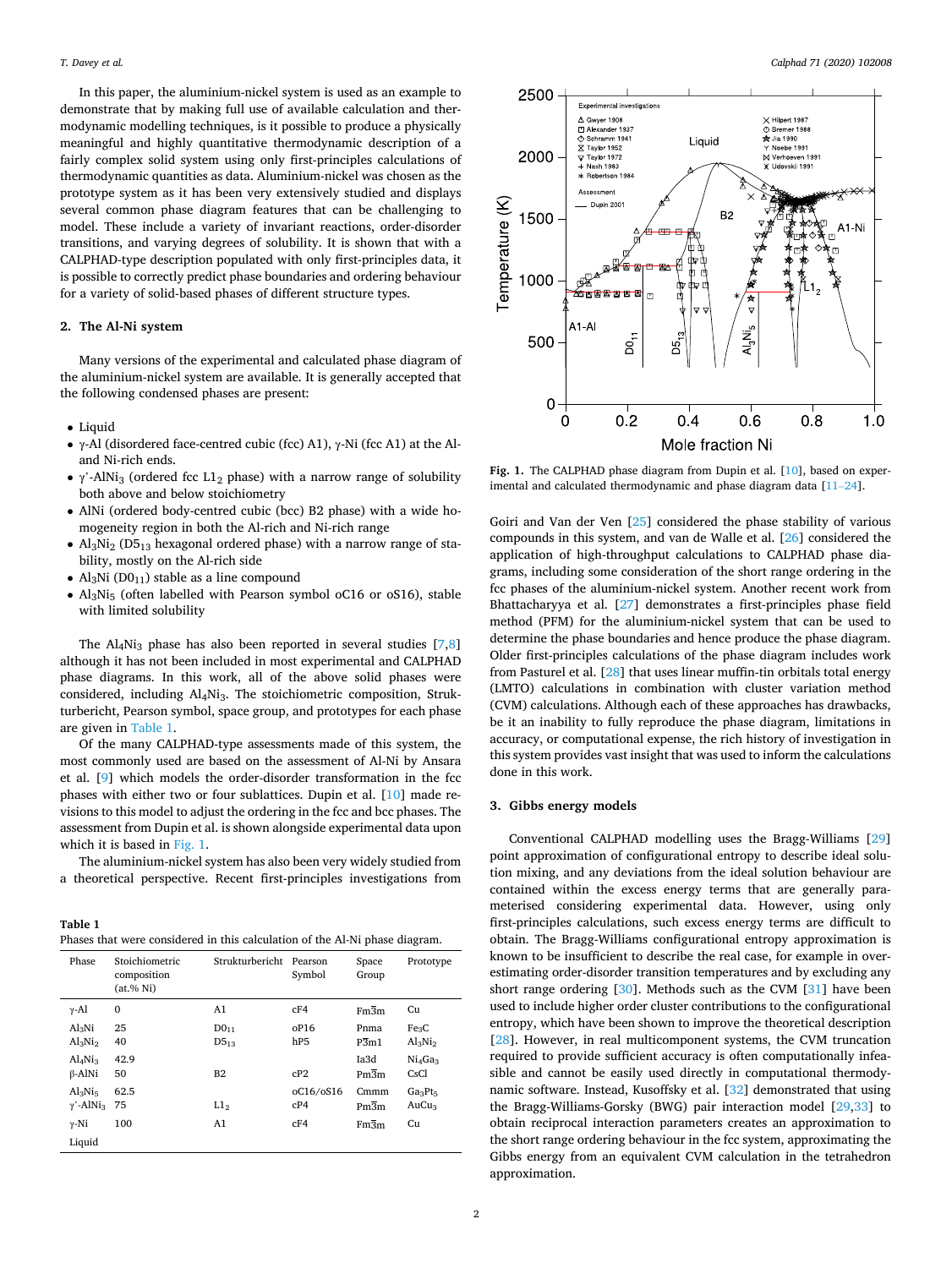<span id="page-1-0"></span>In this paper, the aluminium-nickel system is used as an example to demonstrate that by making full use of available calculation and thermodynamic modelling techniques, is it possible to produce a physically meaningful and highly quantitative thermodynamic description of a fairly complex solid system using only first-principles calculations of thermodynamic quantities as data. Aluminium-nickel was chosen as the prototype system as it has been very extensively studied and displays several common phase diagram features that can be challenging to model. These include a variety of invariant reactions, order-disorder transitions, and varying degrees of solubility. It is shown that with a CALPHAD-type description populated with only first-principles data, it is possible to correctly predict phase boundaries and ordering behaviour for a variety of solid-based phases of different structure types.

#### **2. The Al-Ni system**

Many versions of the experimental and calculated phase diagram of the aluminium-nickel system are available. It is generally accepted that the following condensed phases are present:

- Liquid
- γ-Al (disordered face-centred cubic (fcc) A1), γ-Ni (fcc A1) at the Aland Ni-rich ends.
- $\gamma$ '-AlNi<sub>3</sub> (ordered fcc L1<sub>2</sub> phase) with a narrow range of solubility both above and below stoichiometry
- AlNi (ordered body-centred cubic (bcc) B2 phase) with a wide homogeneity region in both the Al-rich and Ni-rich range
- $Al_3Ni_2$  (D5<sub>13</sub> hexagonal ordered phase) with a narrow range of stability, mostly on the Al-rich side
- Al<sub>3</sub>Ni ( $D0_{11}$ ) stable as a line compound
- Al3Ni5 (often labelled with Pearson symbol oC16 or oS16), stable with limited solubility

The  $Al_4Ni_3$  phase has also been reported in several studies [\[7,8](#page-14-0)] although it has not been included in most experimental and CALPHAD phase diagrams. In this work, all of the above solid phases were considered, including Al4Ni3. The stoichiometric composition, Strukturbericht, Pearson symbol, space group, and prototypes for each phase are given in Table 1.

Of the many CALPHAD-type assessments made of this system, the most commonly used are based on the assessment of Al-Ni by Ansara et al. [\[9\]](#page-14-0) which models the order-disorder transformation in the fcc phases with either two or four sublattices. Dupin et al. [[10\]](#page-15-0) made revisions to this model to adjust the ordering in the fcc and bcc phases. The assessment from Dupin et al. is shown alongside experimental data upon which it is based in Fig. 1.

The aluminium-nickel system has also been very widely studied from a theoretical perspective. Recent first-principles investigations from

**Table 1**  Phases that were considered in this calculation of the Al-Ni phase diagram.

| Phase                                            | Stoichiometric<br>composition<br>(at. % Ni) | Strukturbericht               | Pearson<br>Symbol       | Space<br>Group            | Prototype                       |
|--------------------------------------------------|---------------------------------------------|-------------------------------|-------------------------|---------------------------|---------------------------------|
| $\gamma$ -Al                                     | $\mathbf{0}$                                | A1                            | cF4                     | Fm3m                      | Cu                              |
| Al <sub>3</sub> Ni<br>$Al_3Ni_2$                 | 25<br>40                                    | DO <sub>11</sub><br>$D5_{13}$ | oP16<br>h <sub>P5</sub> | Pnma<br>$\overline{P3m1}$ | Fe <sub>3</sub> C<br>$Al_3Ni_2$ |
| Al <sub>4</sub> Ni <sub>3</sub><br>$\beta$ -AlNi | 42.9<br>50                                  | B <sub>2</sub>                | cP2                     | Ia3d<br>$Pm\overline{3}m$ | $Ni_4Ga_3$<br>CsCl              |
| $Al_3Ni_5$<br>$\gamma'$ -AlNi <sub>3</sub>       | 62.5<br>75                                  | L1 <sub>2</sub>               | oC16/oS16<br>cP4        | Cmmm<br>$Pm\overline{3}m$ | $Ga_3Pt_5$<br>AuCu3             |
| $\gamma$ -Ni<br>Liquid                           | 100                                         | A1                            | cF4                     | $Fm\overline{3}m$         | Cu                              |



Fig. 1. The CALPHAD phase diagram from Dupin et al. [\[10](#page-15-0)], based on experimental and calculated thermodynamic and phase diagram data [11–[24\]](#page-15-0).

Goiri and Van der Ven [[25\]](#page-15-0) considered the phase stability of various compounds in this system, and van de Walle et al. [\[26](#page-15-0)] considered the application of high-throughput calculations to CALPHAD phase diagrams, including some consideration of the short range ordering in the fcc phases of the aluminium-nickel system. Another recent work from Bhattacharyya et al. [[27\]](#page-15-0) demonstrates a first-principles phase field method (PFM) for the aluminium-nickel system that can be used to determine the phase boundaries and hence produce the phase diagram. Older first-principles calculations of the phase diagram includes work from Pasturel et al. [\[28\]](#page-15-0) that uses linear muffin-tin orbitals total energy (LMTO) calculations in combination with cluster variation method (CVM) calculations. Although each of these approaches has drawbacks, be it an inability to fully reproduce the phase diagram, limitations in accuracy, or computational expense, the rich history of investigation in this system provides vast insight that was used to inform the calculations done in this work.

#### **3. Gibbs energy models**

Conventional CALPHAD modelling uses the Bragg-Williams [\[29](#page-15-0)] point approximation of configurational entropy to describe ideal solution mixing, and any deviations from the ideal solution behaviour are contained within the excess energy terms that are generally parameterised considering experimental data. However, using only first-principles calculations, such excess energy terms are difficult to obtain. The Bragg-Williams configurational entropy approximation is known to be insufficient to describe the real case, for example in overestimating order-disorder transition temperatures and by excluding any short range ordering [\[30](#page-15-0)]. Methods such as the CVM [[31\]](#page-15-0) have been used to include higher order cluster contributions to the configurational entropy, which have been shown to improve the theoretical description [[28\]](#page-15-0). However, in real multicomponent systems, the CVM truncation required to provide sufficient accuracy is often computationally infeasible and cannot be easily used directly in computational thermodynamic software. Instead, Kusoffsky et al. [\[32](#page-15-0)] demonstrated that using the Bragg-Williams-Gorsky (BWG) pair interaction model [\[29,33](#page-15-0)] to obtain reciprocal interaction parameters creates an approximation to the short range ordering behaviour in the fcc system, approximating the Gibbs energy from an equivalent CVM calculation in the tetrahedron approximation.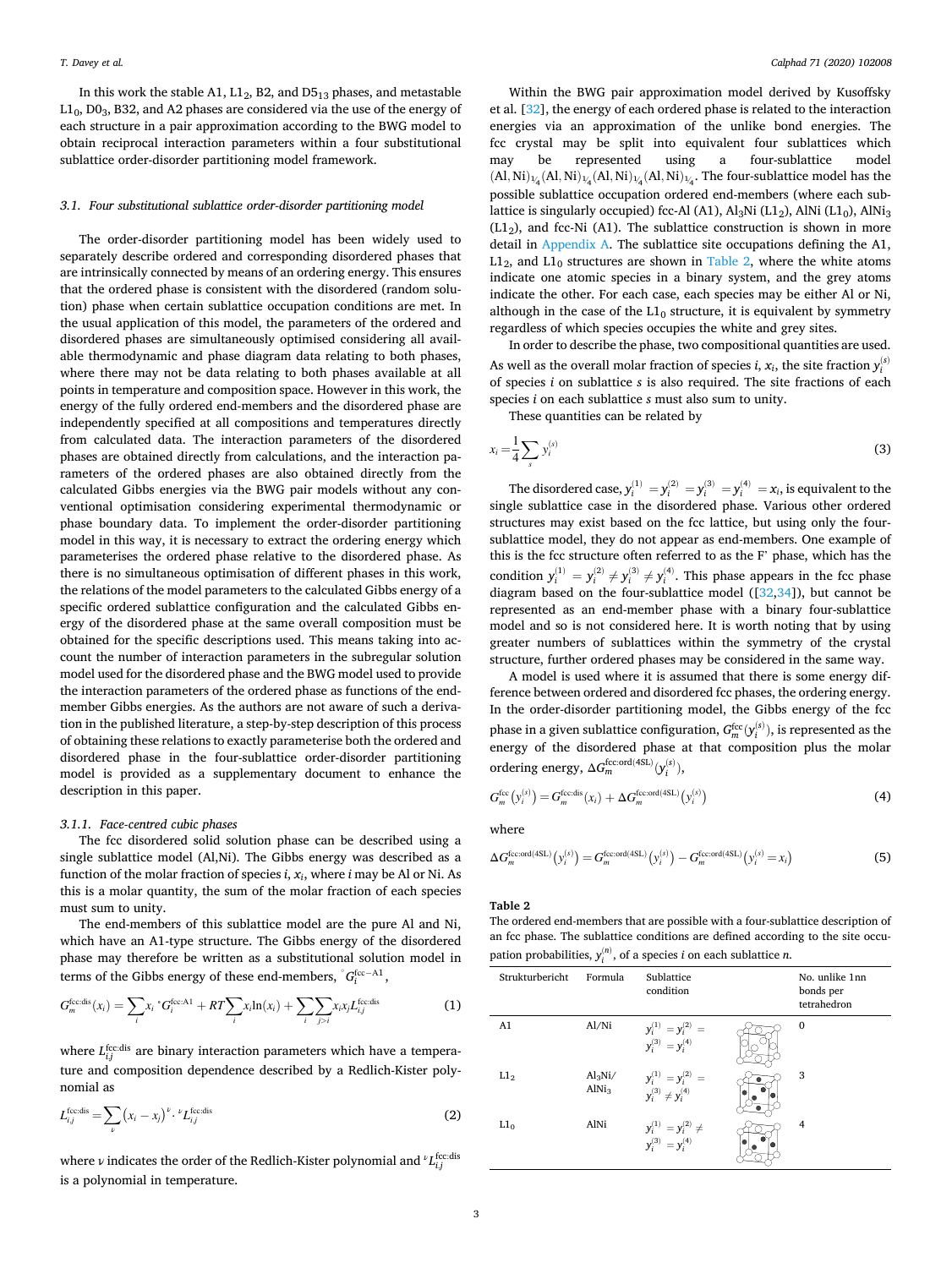<span id="page-2-0"></span>In this work the stable A1,  $L1_2$ , B2, and D5<sub>13</sub> phases, and metastable  $L1_0$ ,  $D0_3$ , B32, and A2 phases are considered via the use of the energy of each structure in a pair approximation according to the BWG model to obtain reciprocal interaction parameters within a four substitutional sublattice order-disorder partitioning model framework.

#### *3.1. Four substitutional sublattice order-disorder partitioning model*

The order-disorder partitioning model has been widely used to separately describe ordered and corresponding disordered phases that are intrinsically connected by means of an ordering energy. This ensures that the ordered phase is consistent with the disordered (random solution) phase when certain sublattice occupation conditions are met. In the usual application of this model, the parameters of the ordered and disordered phases are simultaneously optimised considering all available thermodynamic and phase diagram data relating to both phases, where there may not be data relating to both phases available at all points in temperature and composition space. However in this work, the energy of the fully ordered end-members and the disordered phase are independently specified at all compositions and temperatures directly from calculated data. The interaction parameters of the disordered phases are obtained directly from calculations, and the interaction parameters of the ordered phases are also obtained directly from the calculated Gibbs energies via the BWG pair models without any conventional optimisation considering experimental thermodynamic or phase boundary data. To implement the order-disorder partitioning model in this way, it is necessary to extract the ordering energy which parameterises the ordered phase relative to the disordered phase. As there is no simultaneous optimisation of different phases in this work, the relations of the model parameters to the calculated Gibbs energy of a specific ordered sublattice configuration and the calculated Gibbs energy of the disordered phase at the same overall composition must be obtained for the specific descriptions used. This means taking into account the number of interaction parameters in the subregular solution model used for the disordered phase and the BWG model used to provide the interaction parameters of the ordered phase as functions of the endmember Gibbs energies. As the authors are not aware of such a derivation in the published literature, a step-by-step description of this process of obtaining these relations to exactly parameterise both the ordered and disordered phase in the four-sublattice order-disorder partitioning model is provided as a supplementary document to enhance the description in this paper.

# *3.1.1. Face-centred cubic phases*

The fcc disordered solid solution phase can be described using a single sublattice model (Al,Ni). The Gibbs energy was described as a function of the molar fraction of species *i*, *xi*, where *i* may be Al or Ni. As this is a molar quantity, the sum of the molar fraction of each species must sum to unity.

The end-members of this sublattice model are the pure Al and Ni, which have an A1-type structure. The Gibbs energy of the disordered phase may therefore be written as a substitutional solution model in terms of the Gibbs energy of these end-members,  $\degree G_i^{\rm fcc-A1},$ 

$$
G_m^{\text{fcc:dis}}(x_i) = \sum_i x_i \cdot G_i^{\text{fcc:Al}} + RT \sum_i x_i \ln(x_i) + \sum_i \sum_{j>i} x_i x_j L_{i,j}^{\text{fcc:dis}}
$$
(1)

where  $L_{i,j}^{\text{fcc:dis}}$  are binary interaction parameters which have a temperature and composition dependence described by a Redlich-Kister polynomial as

$$
L_{i,j}^{\text{fcc,dis}} = \sum_{\nu} (x_i - x_j)^{\nu} \cdot \nu L_{i,j}^{\text{fcc,dis}} \tag{2}
$$

where  $\nu$  indicates the order of the Redlich-Kister polynomial and  ${^\nu}L_{i,j}^{\rm fcc:dis}$ is a polynomial in temperature.

Within the BWG pair approximation model derived by Kusoffsky et al. [\[32](#page-15-0)], the energy of each ordered phase is related to the interaction energies via an approximation of the unlike bond energies. The fcc crystal may be split into equivalent four sublattices which may be represented using a four-sublattice model  $(Al, Ni)_{1/4}(Al, Ni)_{1/4}(Al, Ni)_{1/4}(Al, Ni)_{1/4}$ . The four-sublattice model has the possible sublattice occupation ordered end-members (where each sublattice is singularly occupied) fcc-Al (A1), Al<sub>3</sub>Ni (L1<sub>2</sub>), AlNi (L1<sub>0</sub>), AlNi<sub>3</sub>  $(L1<sub>2</sub>)$ , and fcc-Ni (A1). The sublattice construction is shown in more detail in Appendix A. The sublattice site occupations defining the A1,  $L1<sub>2</sub>$ , and  $L1<sub>0</sub>$  structures are shown in Table 2, where the white atoms indicate one atomic species in a binary system, and the grey atoms indicate the other. For each case, each species may be either Al or Ni, although in the case of the  $L1_0$  structure, it is equivalent by symmetry regardless of which species occupies the white and grey sites.

In order to describe the phase, two compositional quantities are used. As well as the overall molar fraction of species *i*,  $x_i$ , the site fraction  $y_i^{(s)}$ of species *i* on sublattice *s* is also required. The site fractions of each species *i* on each sublattice *s* must also sum to unity.

These quantities can be related by

$$
x_i = \frac{1}{4} \sum_s y_i^{(s)} \tag{3}
$$

The disordered case,  $y_i^{(1)} = y_i^{(2)} = y_i^{(3)} = y_i^{(4)} = x_i$ , is equivalent to the single sublattice case in the disordered phase. Various other ordered structures may exist based on the fcc lattice, but using only the foursublattice model, they do not appear as end-members. One example of this is the fcc structure often referred to as the F' phase, which has the condition  $y_i^{(1)} = y_i^{(2)} \neq y_i^{(3)} \neq y_i^{(4)}$ . This phase appears in the fcc phase diagram based on the four-sublattice model ([\[32,34](#page-15-0)]), but cannot be represented as an end-member phase with a binary four-sublattice model and so is not considered here. It is worth noting that by using greater numbers of sublattices within the symmetry of the crystal structure, further ordered phases may be considered in the same way.

A model is used where it is assumed that there is some energy difference between ordered and disordered fcc phases, the ordering energy. In the order-disorder partitioning model, the Gibbs energy of the fcc phase in a given sublattice configuration,  $G_{m}^{\text{fcc}}(y_{i}^{(s)})$ , is represented as the energy of the disordered phase at that composition plus the molar ordering energy,  $\Delta G^{\text{fcc}:\text{ord}(4\text{SL})}_{m}(y_{i}^{(s)}),$ 

$$
G_m^{\text{fcc}}(y_i^{(s)}) = G_m^{\text{fcc,dis}}(x_i) + \Delta G_m^{\text{fcc,ord(4SL)}}(y_i^{(s)})
$$
\n(4)

where

$$
\Delta G_m^{\text{fccord(4SL)}}(y_i^{(s)}) = G_m^{\text{fccord(4SL)}}(y_i^{(s)}) - G_m^{\text{fccord(4SL)}}(y_i^{(s)} = x_i)
$$
\n
$$
(5)
$$

**Table 2** 

The ordered end-members that are possible with a four-sublattice description of an fcc phase. The sublattice conditions are defined according to the site occupation probabilities,  $y_i^{(n)}$ , of a species *i* on each sublattice *n*.

| Strukturbericht | Formula                                      | Sublattice<br>condition                                 | No. unlike 1nn<br>bonds per<br>tetrahedron |
|-----------------|----------------------------------------------|---------------------------------------------------------|--------------------------------------------|
| A <sub>1</sub>  | Al/Ni                                        | $y_i^{(1)} = y_i^{(2)} =$<br>$y_i^{(3)} = y_i^{(4)}$    | $\mathbf{0}$                               |
| L1 <sub>2</sub> | $\text{Al}_3\text{Ni}/$<br>AlNi <sub>3</sub> | $y_i^{(1)} = y_i^{(2)} =$<br>$y_i^{(3)} \neq y_i^{(4)}$ | 3                                          |
| L1 <sub>0</sub> | AlNi                                         | $y_i^{(1)} = y_i^{(2)} \neq$<br>$y_i^{(3)} = y_i^{(4)}$ | 4                                          |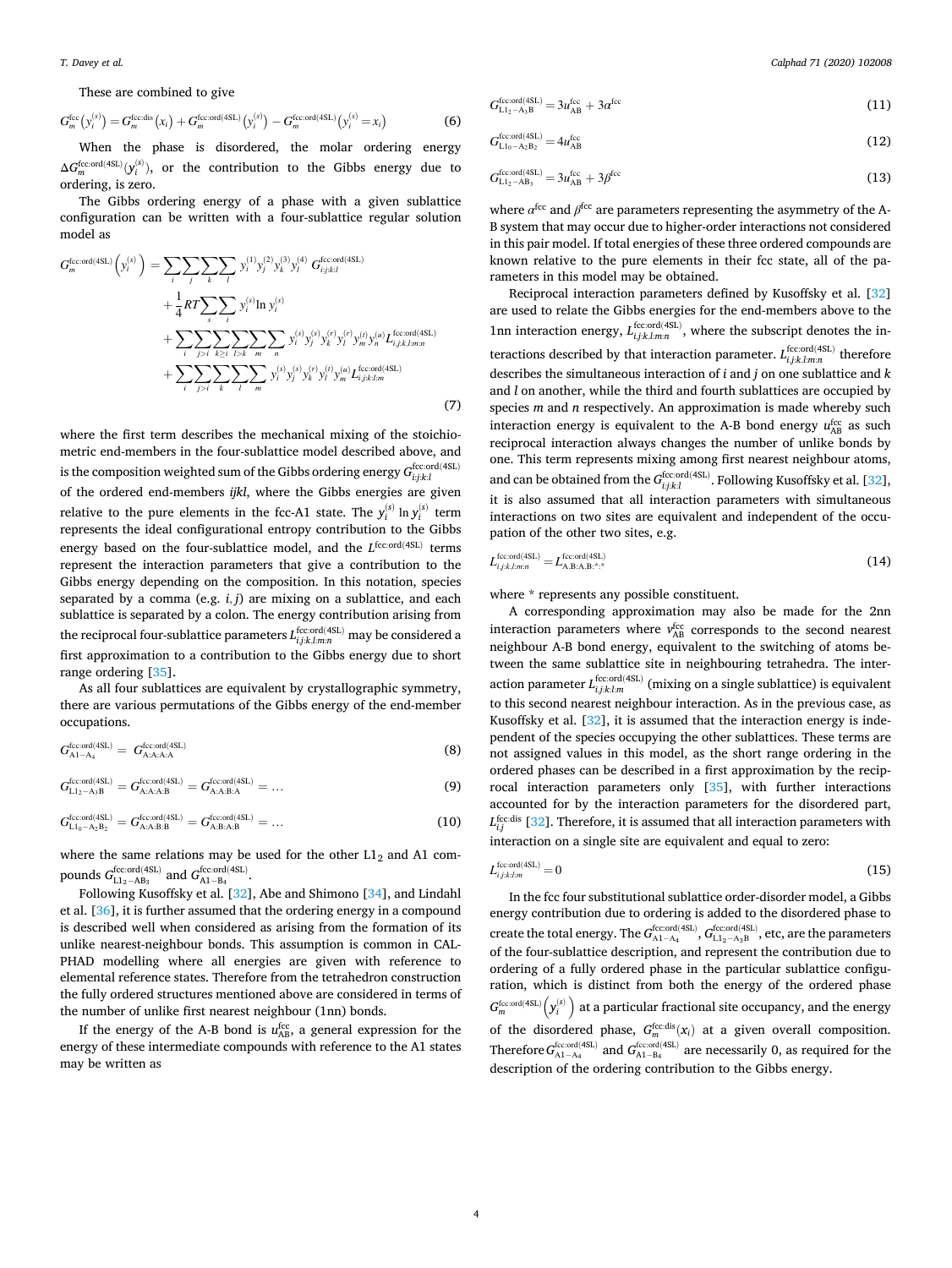<span id="page-3-0"></span>*T. Davey et al.* 

These are combined to give

$$
G_m^{\text{fcc}}(y_i^{(s)}) = G_m^{\text{fcc-dis}}(x_i) + G_m^{\text{fccord(4SL)}}(y_i^{(s)}) - G_m^{\text{fccord(4SL)}}(y_i^{(s)} = x_i)
$$
(6)

When the phase is disordered, the molar ordering energy  $\Delta G_m^{\text{fcc}.\text{ord}(4SL)}(y_i^{(s)}),$  or the contribution to the Gibbs energy due to ordering, is zero.

The Gibbs ordering energy of a phase with a given sublattice configuration can be written with a four-sublattice regular solution model as

$$
G_{m}^{\text{fccord(4SL)}}(y_{i}^{(s)}) = \sum_{i} \sum_{j} \sum_{k} \sum_{l} y_{i}^{(1)} y_{j}^{(2)} y_{k}^{(3)} y_{l}^{(4)} G_{i j; k l}^{\text{fccord(4SL)}} + \frac{1}{4} RT \sum_{s} \sum_{i} y_{i}^{(s)} \ln y_{i}^{(s)} + \sum_{i} \sum_{j>i} \sum_{k \geq i} \sum_{l > k} \sum_{m} \sum_{n} y_{i}^{(s)} y_{j}^{(s)} y_{k}^{(r)} y_{l}^{(r)} y_{m}^{(t)} y_{n}^{(u)} L_{i, j; k, l, m n}^{\text{fccord(4SL)}} + \sum_{i} \sum_{j > i} \sum_{k} \sum_{l} \sum_{m} y_{i}^{(s)} y_{j}^{(s)} y_{k}^{(r)} y_{l}^{(r)} y_{m}^{(u)} L_{i, j; k, l, m n}^{\text{fccord(4SL)}} (7)
$$

where the first term describes the mechanical mixing of the stoichiometric end-members in the four-sublattice model described above, and is the composition weighted sum of the Gibbs ordering energy  $G^{\text{fcc}:\text{ord}(4\text{SL})}_{i:j:k:l}$ of the ordered end-members *ijkl*, where the Gibbs energies are given relative to the pure elements in the fcc-A1 state. The  $y_i^{(s)}$  ln  $y_i^{(s)}$  term represents the ideal configurational entropy contribution to the Gibbs energy based on the four-sublattice model, and the *L*<sup>fcc:ord(4SL)</sup> terms represent the interaction parameters that give a contribution to the Gibbs energy depending on the composition. In this notation, species separated by a comma (e.g. *i, j*) are mixing on a sublattice, and each sublattice is separated by a colon. The energy contribution arising from the reciprocal four-sublattice parameters *L*fcc:ord(4SL) *<sup>i</sup>,j*:*k,l*:*m*:*n* may be considered a first approximation to a contribution to the Gibbs energy due to short range ordering [[35\]](#page-15-0).

As all four sublattices are equivalent by crystallographic symmetry, there are various permutations of the Gibbs energy of the end-member occupations.

$$
G_{\mathrm{A1-A_4}}^{\mathrm{fcc:ord(4SL)}} = G_{\mathrm{A:A:A:A}}^{\mathrm{fcc:ord(4SL)}} \tag{8}
$$

$$
G_{\text{L1}_2-\text{A}_3\text{B}}^{\text{fcc:ord(4SL)}} = G_{\text{A:A:A:B}}^{\text{fcc:ord(4SL)}} = G_{\text{A:A:B:A}}^{\text{fcc:ord(4SL)}} = \dots
$$
\n(9)

$$
G_{\text{L1}_0-\text{A}_2\text{B}_2}^{\text{fcc:ord}(4\text{SL})} = G_{\text{A:A:B:B}}^{\text{fcc:ord}(4\text{SL})} = G_{\text{A:B:A:B}}^{\text{fcc:ord}(4\text{SL})} = \dots
$$
\n(10)

where the same relations may be used for the other  $L1_2$  and A1 compounds  $G_{L1_2 - AB_3}^{\text{fcc:ord(4SL)}}$  and  $G_{A1-B_4}^{\text{fcc:ord(4SL)}}$ .

Following Kusoffsky et al. [[32\]](#page-15-0), Abe and Shimono [\[34](#page-15-0)], and Lindahl et al. [\[36](#page-15-0)], it is further assumed that the ordering energy in a compound is described well when considered as arising from the formation of its unlike nearest-neighbour bonds. This assumption is common in CAL-PHAD modelling where all energies are given with reference to elemental reference states. Therefore from the tetrahedron construction the fully ordered structures mentioned above are considered in terms of the number of unlike first nearest neighbour (1nn) bonds.

If the energy of the A-B bond is  $u_{AB}^{fcc}$ , a general expression for the energy of these intermediate compounds with reference to the A1 states may be written as

$$
G_{L1_2-A_3B}^{\text{feccord}(4SL)} = 3u_{AB}^{\text{fcc}} + 3\alpha^{\text{fcc}} \tag{11}
$$

$$
G_{\text{L1}_0 - \text{A}_2 \text{B}_2}^{\text{fcc,ord}(4\text{SL})} = 4u_{\text{AB}}^{\text{fcc}} \tag{12}
$$

$$
G_{L1_2 - AB_3}^{\text{feccord}(4SL)} = 3u_{AB}^{\text{fcc}} + 3\beta^{\text{fcc}} \tag{13}
$$

where  $\alpha^{\text{fcc}}$  and  $\beta^{\text{fcc}}$  are parameters representing the asymmetry of the A-B system that may occur due to higher-order interactions not considered in this pair model. If total energies of these three ordered compounds are known relative to the pure elements in their fcc state, all of the parameters in this model may be obtained.

Reciprocal interaction parameters defined by Kusoffsky et al. [\[32](#page-15-0)] are used to relate the Gibbs energies for the end-members above to the 1nn interaction energy,  $L_{i,j;k,l,m,n}^{\text{fcc} \text{ord}(4SL)}$ , where the subscript denotes the interactions described by that interaction parameter.  $L_{i,j;k,lm:n}^{\text{fcc:ord(4SL)}}$  therefore describes the simultaneous interaction of *i* and *j* on one sublattice and *k*  and *l* on another, while the third and fourth sublattices are occupied by species *m* and *n* respectively. An approximation is made whereby such interaction energy is equivalent to the A-B bond energy  $u_{AB}^{\text{fcc}}$  as such reciprocal interaction always changes the number of unlike bonds by one. This term represents mixing among first nearest neighbour atoms, and can be obtained from the  $G_{i,j,k,l}^{\text{fcc:ord(4SL)}}$ . Following Kusoffsky et al. [\[32](#page-15-0)], it is also assumed that all interaction parameters with simultaneous interactions on two sites are equivalent and independent of the occupation of the other two sites, e.g.

$$
L_{i,j;k,lmn}^{\text{fcc:ord}(4SL)} = L_{\text{A,B:A,B}^{.\text{st}};\mathbf{A}^{.\text{st}}}
$$
\n
$$
(14)
$$

where \* represents any possible constituent.

A corresponding approximation may also be made for the 2nn interaction parameters where  $v_{AB}^{fcc}$  corresponds to the second nearest neighbour A-B bond energy, equivalent to the switching of atoms between the same sublattice site in neighbouring tetrahedra. The interaction parameter  $L_{i,j,k:l:m}^{\text{fcc:ord}(4SL)}$  (mixing on a single sublattice) is equivalent to this second nearest neighbour interaction. As in the previous case, as Kusoffsky et al. [\[32](#page-15-0)], it is assumed that the interaction energy is independent of the species occupying the other sublattices. These terms are not assigned values in this model, as the short range ordering in the ordered phases can be described in a first approximation by the reciprocal interaction parameters only [[35\]](#page-15-0), with further interactions accounted for by the interaction parameters for the disordered part,  $L_{i,j}^{\text{fcc:dis}}$  [\[32](#page-15-0)]. Therefore, it is assumed that all interaction parameters with interaction on a single site are equivalent and equal to zero:

$$
L_{ijkl:m}^{\text{fcc}.\text{ord}(4SL)} = 0\tag{15}
$$

In the fcc four substitutional sublattice order-disorder model, a Gibbs energy contribution due to ordering is added to the disordered phase to create the total energy. The  $G_{\text{A1-A4}}^{\text{fcc:ord(4SL)}}, G_{\text{L1}_2-\text{A}_3\text{B}}^{\text{fcc:ord(4SL)}},$  etc, are the parameters of the four-sublattice description, and represent the contribution due to ordering of a fully ordered phase in the particular sublattice configuration, which is distinct from both the energy of the ordered phase  $G_{m}^{\text{fcc} \cdot \text{ord}(4SL)}\left(\mathbf{y}_{i}^{\left(s\right)}\right)$  at a particular fractional site occupancy, and the energy of the disordered phase,  $G_m^{\text{fcc-dis}}(x_i)$  at a given overall composition. Therefore  $G_{A1-A_4}^{\text{fcc:ord(4SL)}}$  and  $G_{A1-B_4}^{\text{fcc:ord(4SL)}}$  are necessarily 0, as required for the description of the ordering contribution to the Gibbs energy.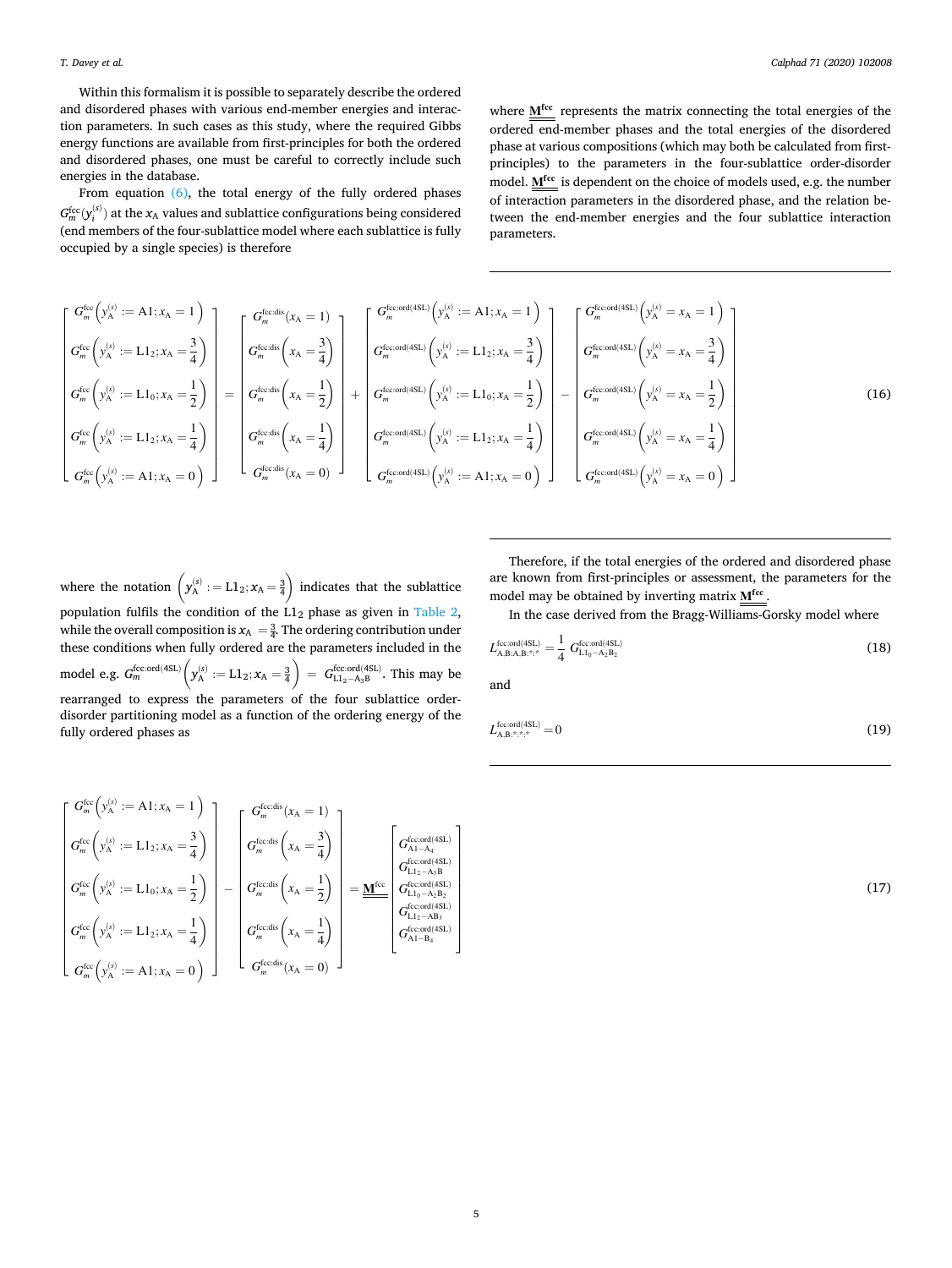Within this formalism it is possible to separately describe the ordered and disordered phases with various end-member energies and interaction parameters. In such cases as this study, where the required Gibbs energy functions are available from first-principles for both the ordered and disordered phases, one must be careful to correctly include such energies in the database.

From equation [\(6\),](#page-3-0) the total energy of the fully ordered phases  $G_{m}^{\text{fcc}}(y_{i}^{(s)})$  at the  $x_{\text{A}}$  values and sublattice configurations being considered (end members of the four-sublattice model where each sublattice is fully occupied by a single species) is therefore

where  $M^{fcc}$  represents the matrix connecting the total energies of the ordered end-member phases and the total energies of the disordered phase at various compositions (which may both be calculated from firstprinciples) to the parameters in the four-sublattice order-disorder model. M<sup>fcc</sup> is dependent on the choice of models used, e.g. the number of interaction parameters in the disordered phase, and the relation between the end-member energies and the four sublattice interaction parameters.

$$
\begin{bmatrix}\nG_m^{\text{fcc}}\left(y_A^{(s)} := A1; x_A = 1\right) \\
G_m^{\text{fcc}}\left(y_A^{(s)} := L1_2; x_A = \frac{3}{4}\right) \\
G_m^{\text{fcc}}\left(y_A^{(s)} := L1_0; x_A = \frac{1}{2}\right) \\
G_m^{\text{fcc}}\left(y_A^{(s)} := L1_2; x_A = \frac{1}{4}\right) \\
G_m^{\text{fcc-dis}}\left(x_A = \frac{1}{2}\right) \\
G_m^{\text{fcc-dis}}\left(x_A = \frac{1}{2}\right) \\
G_m^{\text{fcc-dis}}\left(x_A = \frac{1}{2}\right) \\
G_m^{\text{fcc-dis}}\left(x_A = \frac{1}{2}\right) \\
G_m^{\text{fcc-dis}}\left(x_A = \frac{1}{4}\right) \\
G_m^{\text{fcc-d}(4SL)}\left(y_A^{(s)} := L1_0; x_A = \frac{1}{2}\right) \\
G_m^{\text{fcc-d}(4SL)}\left(y_A^{(s)} := L1_0; x_A = \frac{1}{2}\right) \\
G_m^{\text{fcc-d}(4SL)}\left(y_A^{(s)} := L1_0; x_A = \frac{1}{2}\right) \\
G_m^{\text{fcc-d}(4SL)}\left(y_A^{(s)} := L1_2; x_A = \frac{1}{4}\right) \\
G_m^{\text{fcc-d}(4SL)}\left(y_A^{(s)} := L1_2; x_A = \frac{1}{4}\right) \\
G_m^{\text{fcc-d}(4SL)}\left(y_A^{(s)} := L1_2; x_A = \frac{1}{4}\right) \\
G_m^{\text{fcc-d}(4SL)}\left(y_A^{(s)} := L1_2; x_A = 0\right)\n\end{bmatrix}\n\begin{bmatrix}\nG_m^{\text{fccord}}(4SL) & \left(y_A^{\text{(s)}} = x_A = \frac{3}{4}\right) \\
G_m^{\text{fccord}}(4SL) & \left(y_A^{\text{(s)}} = x_A = \frac{1}{4}\right) \\
G_m^{\text{fccord}(4SL)}\left(y_A^{\text{(s)}} = x_A = \frac{1}{4}\right) \\
G_m^{\text{fccord}(4SL)}\left(y_A^{\text{(s)}} = x_A = 0\right)\n\end{bmatrix}\n\begin{bmatrix}\nG_m^{\text{fcc-d}(4SL)}\left(y_A^{\text{(s)}} = L1_2;
$$

where the notation  $(y_{A}^{(s)} := L1_2; x_A = \frac{3}{4}$  $\mathbf{r}$ indicates that the sublattice population fulfils the condition of the  $L1_2$  phase as given in [Table 2](#page-2-0), while the overall composition is  $x_A = \frac{3}{4}$ . The ordering contribution under these conditions when fully ordered are the parameters included in the model e.g. *G*fcc:ord(4SL) *<sup>m</sup>*  $\cdot$ .  $y_{\rm A}^{(\rm s)}:={\rm L1}_{2}; x_{\rm A}=\frac{3}{4}$  $\ddot{\phantom{0}}$  $= G_{L1_2-A_3B}^{\text{fcc:ord}(4SL)}$ . This may be rearranged to express the parameters of the four sublattice orderdisorder partitioning model as a function of the ordering energy of the fully ordered phases as

Therefore, if the total energies of the ordered and disordered phase are known from first-principles or assessment, the parameters for the model may be obtained by inverting matrix  $M^{fcc}$ 

In the case derived from the Bragg-Williams-Gorsky model where

$$
L_{\rm A,B:A,B;*,*}^{\rm fcc,ord(4SL)} = \frac{1}{4} \ G_{\rm L1_0-A_2B_2}^{\rm fcc,ord(4SL)} \tag{18}
$$

and

$$
L_{\mathbf{A},\mathbf{B}:\stackrel{\ast}{\ldots}\stackrel{\ast}{\ldots}\stackrel{\ast}{\ldots}}^{\text{fcc:ord(4SL)}} = 0\tag{19}
$$

$$
\left|\begin{matrix}G_m^{\text{fcc}}\left(y_A^{(s)}:=A1;x_A=1\right)\\ G_m^{\text{fcc}}\left(y_A^{(s)}:=L1_2;x_A=\frac{3}{4}\right)\\ G_m^{\text{fcc}}\left(y_A^{(s)}:=L1_0;x_A=\frac{1}{2}\right)\\ G_m^{\text{fcc}}\left(y_A^{(s)}:=L1_2;x_A=\frac{1}{4}\right)\\ G_m^{\text{fcc}}\left(x_A=\frac{1}{2}\right)\\ G_m^{\text{fcc}}\left(x_A=\frac{1}{2}\right)\\ G_m^{\text{fcc}}\left(x_A=\frac{1}{4}\right)\\ G_m^{\text{fcc}}\left(x_A=\frac{1}{4}\right)\\ G_m^{\text{fcc}}\left(x_A=\frac{1}{4}\right)\\ G_m^{\text{fcc}}\left(x_A=\frac{1}{4}\right)\\ G_m^{\text{fcc}}\left(x_A=\frac{1}{4}\right)\\ G_{\text{L12-AB}}^{\text{fcc}}\left(x_A=\frac{1}{4}\right)\\ G_{\text{L12-AB}}^{\text{fcc}}\left(x_A=\frac{1}{4}\right)\\ G_{\text{L12-AB}}^{\text{fcc}}\left(x_A=\frac{1}{4}\right)\\ G_{\text{L12-AB}}^{\text{fcc}}\left(x_A=\frac{1}{4}\right)\\ G_{\text{L12-AB}}^{\text{fcc}}\left(x_A=\frac{1}{4}\right)\\ G_{\text{L12-AB}}^{\text{fcc}}\left(x_A=\frac{1}{4}\right)\\ G_{\text{L12-AB}}^{\text{fcc}}\left(x_A=\frac{1}{4}\right)\\ G_{\text{L12-AB}}^{\text{fcc}}\left(x_A=\frac{1}{4}\right)\\ G_{\text{L12-AB}}^{\text{fcc}}\left(x_A=\frac{1}{4}\right)\\ G_{\text{KL}}^{\text{fcc}}\left(x_A=\frac{1}{4}\right)\\ G_{\text{KL}}^{\text{fcc}}\left(x_A=\frac{1}{4}\right)\\ G_{\text{KL}}^{\text{etc.}}\left(x_A=\frac{1}{4}\right)\\ G_{\text{KL}}^{\text{etc.}}\left(x_A=\frac{1}{4}\right)\\ G_{\text{KL}}^{\text{etc.}}\left(x_A=\frac{1}{4}\right)\\ G_{\text{KL}}^{\text{etc.}}\left(x_A=\frac{1}{4}\right)\\ G_{\text{KL}}^{\text{etc.}}\left(x_A=\frac{1}{4}\right)\\
$$

 $\mathbf{r}$ 

(17)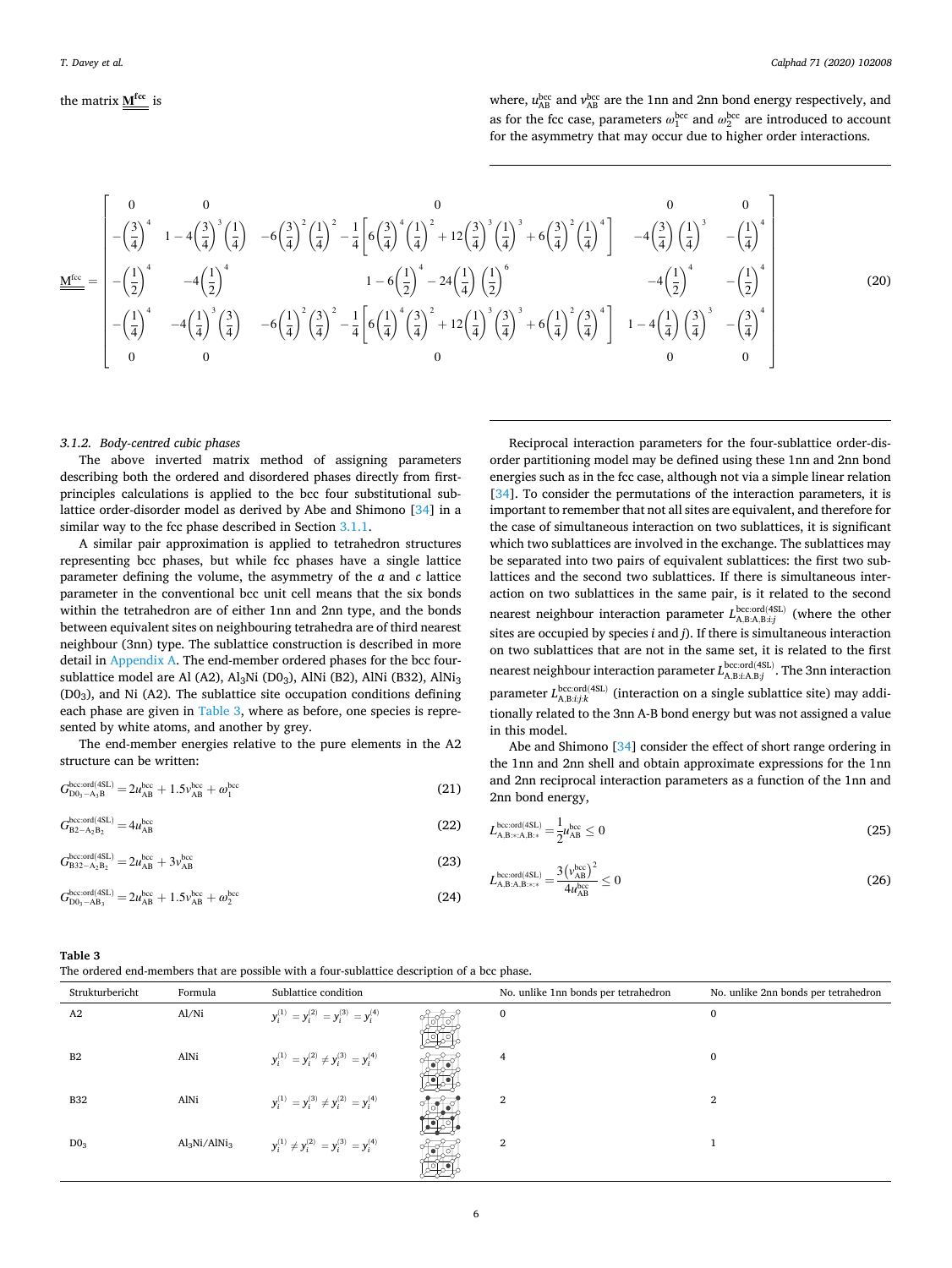<span id="page-5-0"></span>the matrix 
$$
\mathbf{M}^{\text{fcc}}
$$
 is

where,  $u_{AB}^{bcc}$  and  $v_{AB}^{bcc}$  are the 1nn and 2nn bond energy respectively, and as for the fcc case, parameters  $\omega_1^{\text{bcc}}$  and  $\omega_2^{\text{bcc}}$  are introduced to account for the asymmetry that may occur due to higher order interactions.

$$
\underline{\underline{M^{ice}}}_{\text{free}} = \begin{bmatrix} 0 & 0 & 0 & 0 & 0 \\ -\left(\frac{3}{4}\right)^4 & 1 - 4\left(\frac{3}{4}\right)^3 \left(\frac{1}{4}\right) & -6\left(\frac{3}{4}\right)^2 \left(\frac{1}{4}\right)^2 - \frac{1}{4} \left[ 6\left(\frac{3}{4}\right)^4 \left(\frac{1}{4}\right)^2 + 12\left(\frac{3}{4}\right)^3 \left(\frac{1}{4}\right)^3 + 6\left(\frac{3}{4}\right)^2 \left(\frac{1}{4}\right)^4 \right] & -4\left(\frac{3}{4}\right) \left(\frac{1}{4}\right)^3 & -\left(\frac{1}{4}\right)^4 \\ -\left(\frac{1}{2}\right)^4 & -4\left(\frac{1}{2}\right)^4 & 1 - 6\left(\frac{1}{2}\right)^4 - 24\left(\frac{1}{4}\right) \left(\frac{1}{2}\right)^6 & -4\left(\frac{1}{2}\right)^4 & -\left(\frac{1}{2}\right)^4 \\ -\left(\frac{1}{4}\right)^4 & -4\left(\frac{1}{4}\right)^3 \left(\frac{3}{4}\right) & -6\left(\frac{1}{4}\right)^2 \left(\frac{3}{4}\right)^2 - \frac{1}{4} \left[ 6\left(\frac{1}{4}\right)^4 \left(\frac{3}{4}\right)^2 + 12\left(\frac{1}{4}\right)^3 \left(\frac{3}{4}\right)^3 + 6\left(\frac{1}{4}\right)^2 \left(\frac{3}{4}\right)^4 \right] & 1 - 4\left(\frac{1}{4}\right) \left(\frac{3}{4}\right)^3 & -\left(\frac{3}{4}\right)^4 \\ 0 & 0 & 0 & 0 & 0 \end{bmatrix}
$$

(20)

#### *3.1.2. Body-centred cubic phases*

The above inverted matrix method of assigning parameters describing both the ordered and disordered phases directly from firstprinciples calculations is applied to the bcc four substitutional sublattice order-disorder model as derived by Abe and Shimono [[34\]](#page-15-0) in a similar way to the fcc phase described in Section [3.1.1.](#page-2-0)

A similar pair approximation is applied to tetrahedron structures representing bcc phases, but while fcc phases have a single lattice parameter defining the volume, the asymmetry of the *a* and *c* lattice parameter in the conventional bcc unit cell means that the six bonds within the tetrahedron are of either 1nn and 2nn type, and the bonds between equivalent sites on neighbouring tetrahedra are of third nearest neighbour (3nn) type. The sublattice construction is described in more detail in Appendix A. The end-member ordered phases for the bcc foursublattice model are Al (A2),  $Al_3Ni$  (D0<sub>3</sub>), AlNi (B2), AlNi (B32), AlNi<sub>3</sub> (D03), and Ni (A2). The sublattice site occupation conditions defining each phase are given in Table 3, where as before, one species is represented by white atoms, and another by grey.

The end-member energies relative to the pure elements in the A2 structure can be written:

$$
G_{D0_3 - A_3B}^{bccc \text{ord}(4SL)} = 2u_{AB}^{bcc} + 1.5v_{AB}^{bcc} + \omega_1^{bcc}
$$
 (21)

$$
G_{\rm B2-A_2B_2}^{\rm bcc:ord(4SL)} = 4u_{\rm AB}^{\rm bcc} \tag{22}
$$

$$
G_{\rm B32-A_2B_2}^{\rm bcc,ord(4SL)} = 2u_{\rm AB}^{\rm bcc} + 3v_{\rm AB}^{\rm bcc} \tag{23}
$$

$$
G_{D0_3 - AB_3}^{\text{bcc:ord(4SL)}} = 2u_{AB}^{\text{bcc}} + 1.5v_{AB}^{\text{bcc}} + \omega_2^{\text{bcc}} \tag{24}
$$

Reciprocal interaction parameters for the four-sublattice order-disorder partitioning model may be defined using these 1nn and 2nn bond energies such as in the fcc case, although not via a simple linear relation [[34\]](#page-15-0). To consider the permutations of the interaction parameters, it is important to remember that not all sites are equivalent, and therefore for the case of simultaneous interaction on two sublattices, it is significant which two sublattices are involved in the exchange. The sublattices may be separated into two pairs of equivalent sublattices: the first two sublattices and the second two sublattices. If there is simultaneous interaction on two sublattices in the same pair, is it related to the second nearest neighbour interaction parameter  $L_{\text{A,B:A,B:ij}}^{\text{bcc,ord(4SL)}}$  (where the other sites are occupied by species *i* and *j*). If there is simultaneous interaction on two sublattices that are not in the same set, it is related to the first nearest neighbour interaction parameter  $L_{\text{A},\text{B}:i\text{A},\text{B}:j}^{\text{bcc:ord(ASL)}}$ . The 3nn interaction parameter  $L_{A,B:ij;k}^{\text{bcc:ord}(4SL)}$  (interaction on a single sublattice site) may additionally related to the 3nn A-B bond energy but was not assigned a value in this model.

Abe and Shimono [\[34](#page-15-0)] consider the effect of short range ordering in the 1nn and 2nn shell and obtain approximate expressions for the 1nn and 2nn reciprocal interaction parameters as a function of the 1nn and 2nn bond energy,

$$
L_{\text{A,B}:\text{A},\text{B}:\text{B}}^{\text{bcc}.\text{ord}(4\text{SL})} = \frac{1}{2} u_{\text{AB}}^{\text{bcc}} \le 0 \tag{25}
$$

$$
L_{\text{A,B:A,B}:^{++}}^{\text{bcc,ord(4SL)}} = \frac{3\left(\nu_{\text{AB}}^{\text{bcc}}\right)^2}{4\mu_{\text{AB}}^{\text{bcc}}} \le 0\tag{26}
$$

| Table 3                                                                                      |  |
|----------------------------------------------------------------------------------------------|--|
| The ordered end-members that are possible with a four-sublattice description of a bcc phase. |  |
|                                                                                              |  |

| Strukturbericht | Formula         | Sublattice condition                               | No. unlike 1nn bonds per tetrahedron | No. unlike 2nn bonds per tetrahedron |
|-----------------|-----------------|----------------------------------------------------|--------------------------------------|--------------------------------------|
| A <sub>2</sub>  | Al/Ni           | $y_i^{(1)} = y_i^{(2)} = y_i^{(3)} = y_i^{(4)}$    | $\mathbf{0}$                         | 0                                    |
| B <sub>2</sub>  | AlNi            | $y_i^{(1)} = y_i^{(2)} \neq y_i^{(3)} = y_i^{(4)}$ | 4                                    | $\Omega$                             |
| <b>B32</b>      | AlNi            | $y_i^{(1)} = y_i^{(3)} \neq y_i^{(2)} = y_i^{(4)}$ | 2                                    | 2                                    |
| $D0_3$          | $Al_3Ni/AlNi_3$ | $y_i^{(1)} \neq y_i^{(2)} = y_i^{(3)} = y_i^{(4)}$ | 2                                    |                                      |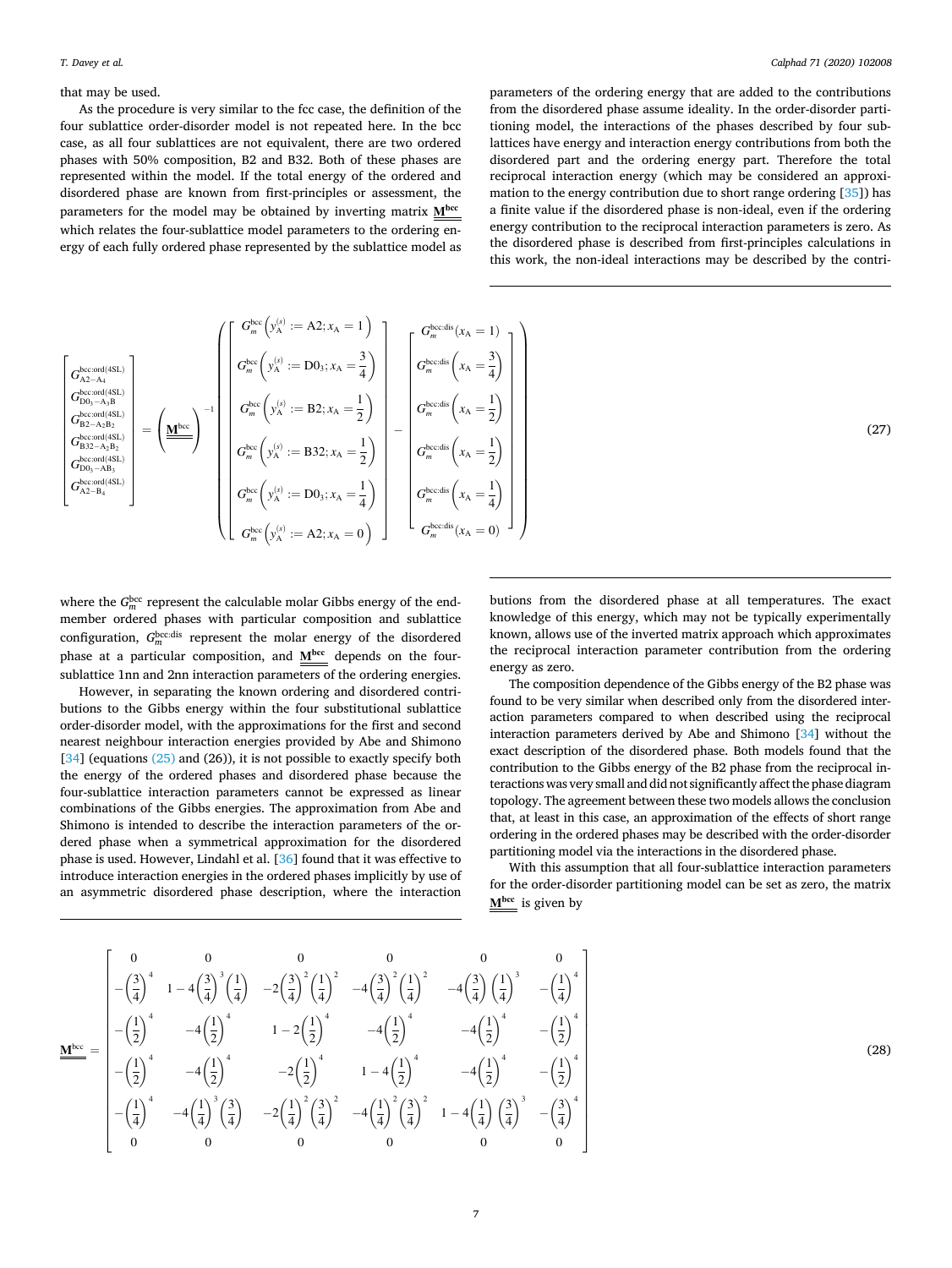#### that may be used.

As the procedure is very similar to the fcc case, the definition of the four sublattice order-disorder model is not repeated here. In the bcc case, as all four sublattices are not equivalent, there are two ordered phases with 50% composition, B2 and B32. Both of these phases are represented within the model. If the total energy of the ordered and disordered phase are known from first-principles or assessment, the parameters for the model may be obtained by inverting matrix **Mbcc**  which relates the four-sublattice model parameters to the ordering energy of each fully ordered phase represented by the sublattice model as

parameters of the ordering energy that are added to the contributions from the disordered phase assume ideality. In the order-disorder partitioning model, the interactions of the phases described by four sublattices have energy and interaction energy contributions from both the disordered part and the ordering energy part. Therefore the total reciprocal interaction energy (which may be considered an approximation to the energy contribution due to short range ordering [\[35\]](#page-15-0)) has a finite value if the disordered phase is non-ideal, even if the ordering energy contribution to the reciprocal interaction parameters is zero. As the disordered phase is described from first-principles calculations in this work, the non-ideal interactions may be described by the contri-

$$
\begin{bmatrix}\nG_{A2-A4}^{\text{bccord}(4SL)} \\
G_{A2-A4}^{\text{bccord}(4SL)} \\
G_{B2-A2B}^{\text{bccord}(4SL)} \\
G_{B2-A2B}^{\text{bccord}(4SL)} \\
G_{B2-A2B}^{\text{bccord}(4SL)} \\
G_{B2-A2B}^{\text{bccord}(4SL)}\n\end{bmatrix} = \left(\underline{\underline{M}}^{\text{bcc}}\right)^{-1} \begin{bmatrix}\nG_{m}^{\text{bcc}}\left(y_{A}^{(s)} := A2; x_{A} = 1\right) \\
G_{m}^{\text{bcc}}\left(y_{A}^{(s)} := D0_{3}; x_{A} = \frac{3}{4}\right) \\
G_{m}^{\text{bcc}}\left(y_{A}^{(s)} := B2; x_{A} = \frac{1}{2}\right) \\
G_{m}^{\text{bccord}(4SL)}\n\end{bmatrix} = \left(\underline{\underline{M}}^{\text{bcc}}\right)^{-1} \begin{bmatrix}\nG_{m}^{\text{bcc}}\left(y_{A}^{(s)} := D0_{3}; x_{A} = \frac{3}{4}\right) \\
G_{m}^{\text{bcc}}\left(y_{A}^{(s)} := B2; x_{A} = \frac{1}{2}\right) \\
G_{m}^{\text{bcc}}\left(y_{A}^{(s)} := B32; x_{A} = \frac{1}{2}\right) \\
G_{m}^{\text{bccord}(4SL)}\n\end{bmatrix} - \left(\frac{\underline{M}}{\underline{M}}^{\text{bcc}}\left(y_{A}^{(s)} := D0_{3}; x_{A} = \frac{1}{4}\right) \\
G_{m}^{\text{bcc}}\left(y_{A}^{(s)} := D0_{3}; x_{A} = \frac{1}{4}\right) \\
G_{m}^{\text{bcc}}\left(y_{A}^{(s)} := A2; x_{A} = 0\right)\n\end{bmatrix} \begin{bmatrix}\nG_{m}^{\text{bcc}}\left(x_{A} = 1\right) \\
G_{m}^{\text{bcc}}\left(x_{A} = \frac{1}{2}\right) \\
G_{m}^{\text{bcc}}\left(x_{A} = \frac{1}{4}\right) \\
G_{m}^{\text{bcc}}\left(x_{A} = 0\right)\n\end{bmatrix} \right)
$$
\n(27)

where the  $G_m^{\text{bcc}}$  represent the calculable molar Gibbs energy of the endmember ordered phases with particular composition and sublattice configuration,  $G_m^{\text{bcc:dis}}$  represent the molar energy of the disordered phase at a particular composition, and  $M^{bcc}$  depends on the foursublattice 1nn and 2nn interaction parameters of the ordering energies.

However, in separating the known ordering and disordered contributions to the Gibbs energy within the four substitutional sublattice order-disorder model, with the approximations for the first and second nearest neighbour interaction energies provided by Abe and Shimono  $[34]$  $[34]$  (equations  $(25)$  and  $(26)$ ), it is not possible to exactly specify both the energy of the ordered phases and disordered phase because the four-sublattice interaction parameters cannot be expressed as linear combinations of the Gibbs energies. The approximation from Abe and Shimono is intended to describe the interaction parameters of the ordered phase when a symmetrical approximation for the disordered phase is used. However, Lindahl et al. [[36](#page-15-0)] found that it was effective to introduce interaction energies in the ordered phases implicitly by use of an asymmetric disordered phase description, where the interaction

butions from the disordered phase at all temperatures. The exact knowledge of this energy, which may not be typically experimentally known, allows use of the inverted matrix approach which approximates the reciprocal interaction parameter contribution from the ordering energy as zero.

The composition dependence of the Gibbs energy of the B2 phase was found to be very similar when described only from the disordered interaction parameters compared to when described using the reciprocal interaction parameters derived by Abe and Shimono [[34\]](#page-15-0) without the exact description of the disordered phase. Both models found that the contribution to the Gibbs energy of the B2 phase from the reciprocal interactions was very small and did not significantly affect the phase diagram topology. The agreement between these two models allows the conclusion that, at least in this case, an approximation of the effects of short range ordering in the ordered phases may be described with the order-disorder partitioning model via the interactions in the disordered phase.

With this assumption that all four-sublattice interaction parameters for the order-disorder partitioning model can be set as zero, the matrix **Mbcc** is given by

$$
\underline{\underline{\mathbf{M}}}_{\text{free}}^{\text{bcc}} = \begin{bmatrix} 0 & 0 & 0 & 0 & 0 & 0 & 0 \\ -\left(\frac{3}{4}\right)^4 & 1 - 4\left(\frac{3}{4}\right)^3 \left(\frac{1}{4}\right) & -2\left(\frac{3}{4}\right)^2 \left(\frac{1}{4}\right)^2 & -4\left(\frac{3}{4}\right)^2 \left(\frac{1}{4}\right)^2 & -4\left(\frac{3}{4}\right) \left(\frac{1}{4}\right)^3 & -\left(\frac{1}{4}\right)^4 \\ -\left(\frac{1}{2}\right)^4 & -4\left(\frac{1}{2}\right)^4 & 1 - 2\left(\frac{1}{2}\right)^4 & -4\left(\frac{1}{2}\right)^4 & -4\left(\frac{1}{2}\right)^4 & -\left(\frac{1}{2}\right)^4 \\ -\left(\frac{1}{2}\right)^4 & -4\left(\frac{1}{2}\right)^4 & -2\left(\frac{1}{2}\right)^4 & 1 - 4\left(\frac{1}{2}\right)^4 & -4\left(\frac{1}{2}\right)^4 & -\left(\frac{1}{2}\right)^4 \\ -\left(\frac{1}{4}\right)^4 & -4\left(\frac{1}{4}\right)^3 \left(\frac{3}{4}\right) & -2\left(\frac{1}{4}\right)^2 \left(\frac{3}{4}\right)^2 & -4\left(\frac{1}{4}\right)^2 \left(\frac{3}{4}\right)^2 & 1 - 4\left(\frac{1}{4}\right) \left(\frac{3}{4}\right)^3 & -\left(\frac{3}{4}\right)^4 \\ 0 & 0 & 0 & 0 & 0 & 0 \end{bmatrix}^{\frac{1}{3}}
$$

(28)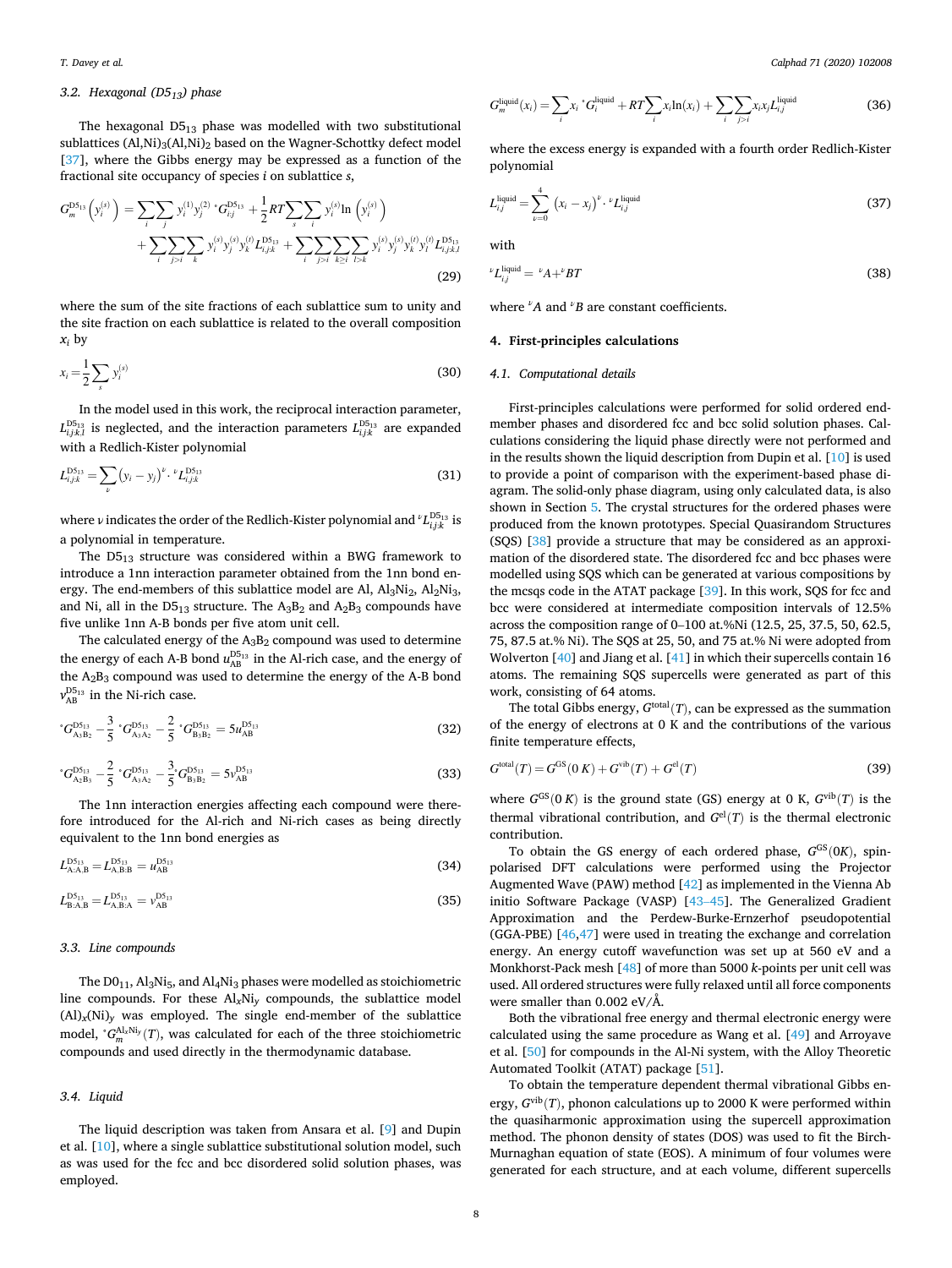# *3.2. Hexagonal (D513) phase*

The hexagonal  $D5_{13}$  phase was modelled with two substitutional sublattices  $(AI,Ni)_{3}(AI,Ni)_{2}$  based on the Wagner-Schottky defect model [[37\]](#page-15-0), where the Gibbs energy may be expressed as a function of the fractional site occupancy of species *i* on sublattice *s*,

$$
G_m^{\text{DS}_{13}}(y_i^{(s)}) = \sum_{i} \sum_{j} y_i^{(1)} y_j^{(2)} \cdot G_{ij}^{\text{DS}_{13}} + \frac{1}{2} RT \sum_{s} \sum_{i} y_i^{(s)} \ln (y_i^{(s)}) + \sum_{i} \sum_{j>l} \sum_{k} y_i^{(s)} y_j^{(s)} y_k^{(l)} L_{i,jk}^{\text{DS}_{13}} + \sum_{i} \sum_{j>l} \sum_{k \geq i} \sum_{l > k} y_i^{(s)} y_j^{(s)} y_k^{(l)} y_l^{(l)} L_{i,jk,l}^{\text{DS}_{13}} \tag{29}
$$

where the sum of the site fractions of each sublattice sum to unity and the site fraction on each sublattice is related to the overall composition  $x_i$  by

$$
x_i = \frac{1}{2} \sum_s y_i^{(s)} \tag{30}
$$

In the model used in this work, the reciprocal interaction parameter,  $L_{i,j;k,l}^{\text{DS}_{13}}$  is neglected, and the interaction parameters  $L_{i,j;k}^{\text{DS}_{13}}$  are expanded with a Redlich-Kister polynomial

$$
L_{i,j;k}^{\text{DS}_{13}} = \sum_{\nu} (y_i - y_j)^{\nu} \cdot \nu L_{i,j;k}^{\text{DS}_{13}} \tag{31}
$$

where ν indicates the order of the Redlich-Kister polynomial and  $^{\nu}L_{i,j;k}^{\text{D5}_{13}}$  is a polynomial in temperature.

The  $D5_{13}$  structure was considered within a BWG framework to introduce a 1nn interaction parameter obtained from the 1nn bond energy. The end-members of this sublattice model are Al,  $Al_3Ni_2$ ,  $Al_2Ni_3$ , and Ni, all in the  $D5_{13}$  structure. The  $A_3B_2$  and  $A_2B_3$  compounds have five unlike 1nn A-B bonds per five atom unit cell.

The calculated energy of the  $A_3B_2$  compound was used to determine the energy of each A-B bond  $u_{AB}^{\text{D5}_{13}}$  in the Al-rich case, and the energy of the  $A_2B_3$  compound was used to determine the energy of the A-B bond  $v_{AB}^{\text{D5}_{13}}$  in the Ni-rich case.

$$
{}^{*}G_{A_{3}B_{2}}^{D5_{13}} - \frac{3}{5} {}^{*}G_{A_{3}A_{2}}^{D5_{13}} - \frac{2}{5} {}^{*}G_{B_{3}B_{2}}^{D5_{13}} = 5u_{AB}^{D5_{13}}
$$
(32)

$$
{}^{*}G_{\mathcal{A}_{2}B_{3}}^{\mathcal{D}_{513}} - \frac{2}{5} {}^{*}G_{\mathcal{A}_{3}A_{2}}^{\mathcal{D}_{513}} - \frac{3}{5} {}^{*}G_{\mathcal{B}_{3}B_{2}}^{\mathcal{D}_{513}} = 5\nu_{AB}^{\mathcal{D}_{513}}
$$
(33)

The 1nn interaction energies affecting each compound were therefore introduced for the Al-rich and Ni-rich cases as being directly equivalent to the 1nn bond energies as

$$
L_{\rm A:A,B}^{\rm D5_{13}} = L_{\rm A,B:B}^{\rm D5_{13}} = u_{\rm AB}^{\rm D5_{13}} \tag{34}
$$

$$
L_{\rm B:A,B}^{\rm D5_{13}} = L_{\rm A,B:A}^{\rm D5_{13}} = v_{\rm AB}^{\rm D5_{13}} \tag{35}
$$

#### *3.3. Line compounds*

The  $D0_{11}$ , Al<sub>3</sub>Ni<sub>5</sub>, and Al<sub>4</sub>Ni<sub>3</sub> phases were modelled as stoichiometric line compounds. For these Al*x*Ni*y* compounds, the sublattice model  $(AI)_x(NI)_y$  was employed. The single end-member of the sublattice model, <sup>°</sup>*G*<sup>Al<sub>x</sub>Ni<sub>*y*</sub></sub>(*T*), was calculated for each of the three stoichiometric</sup> compounds and used directly in the thermodynamic database.

#### *3.4. Liquid*

The liquid description was taken from Ansara et al. [[9](#page-14-0)] and Dupin et al. [\[10](#page-15-0)], where a single sublattice substitutional solution model, such as was used for the fcc and bcc disordered solid solution phases, was employed.

$$
G_m^{\text{liquid}}(x_i) = \sum_i x_i \, {}^* G_i^{\text{liquid}} + RT \sum_i x_i \ln(x_i) + \sum_i \sum_{j>i} x_i x_j L_{i,j}^{\text{liquid}}
$$
\n(36)

where the excess energy is expanded with a fourth order Redlich-Kister polynomial

$$
L_{i,j}^{\text{liquid}} = \sum_{\nu=0}^{4} (x_i - x_j)^{\nu} \cdot \nu_{L_{i,j}}^{\text{liquid}}
$$
\n(37)

with

$$
^{\nu}L_{i,j}^{\text{liquid}} = \,^{\nu}A + ^{\nu}BT \tag{38}
$$

where *<sup>ν</sup> A* and *<sup>ν</sup>B* are constant coefficients.

#### **4. First-principles calculations**

#### *4.1. Computational details*

First-principles calculations were performed for solid ordered endmember phases and disordered fcc and bcc solid solution phases. Calculations considering the liquid phase directly were not performed and in the results shown the liquid description from Dupin et al. [[10\]](#page-15-0) is used to provide a point of comparison with the experiment-based phase diagram. The solid-only phase diagram, using only calculated data, is also shown in Section [5](#page-11-0). The crystal structures for the ordered phases were produced from the known prototypes. Special Quasirandom Structures (SQS) [\[38](#page-15-0)] provide a structure that may be considered as an approximation of the disordered state. The disordered fcc and bcc phases were modelled using SQS which can be generated at various compositions by the mcsqs code in the ATAT package [[39\]](#page-15-0). In this work, SQS for fcc and bcc were considered at intermediate composition intervals of 12.5% across the composition range of 0–100 at.%Ni (12.5, 25, 37.5, 50, 62.5, 75, 87.5 at.% Ni). The SQS at 25, 50, and 75 at.% Ni were adopted from Wolverton [[40\]](#page-15-0) and Jiang et al. [\[41](#page-15-0)] in which their supercells contain 16 atoms. The remaining SQS supercells were generated as part of this work, consisting of 64 atoms.

The total Gibbs energy,  $G<sup>total</sup>(T)$ , can be expressed as the summation of the energy of electrons at 0 K and the contributions of the various finite temperature effects,

$$
Gtotal(T) = GGS(0 K) + Gvib(T) + Gel(T)
$$
\n(39)

where  $G^{GS}(0 K)$  is the ground state (GS) energy at 0 K,  $G^{vib}(T)$  is the thermal vibrational contribution, and  $G^{el}(T)$  is the thermal electronic contribution.

To obtain the GS energy of each ordered phase,  $G^{GS}(0K)$ , spinpolarised DFT calculations were performed using the Projector Augmented Wave (PAW) method [[42\]](#page-15-0) as implemented in the Vienna Ab initio Software Package (VASP) [\[43](#page-15-0)–45]. The Generalized Gradient Approximation and the Perdew-Burke-Ernzerhof pseudopotential (GGA-PBE) [\[46](#page-15-0),[47\]](#page-15-0) were used in treating the exchange and correlation energy. An energy cutoff wavefunction was set up at 560 eV and a Monkhorst-Pack mesh [\[48](#page-15-0)] of more than 5000 *k*-points per unit cell was used. All ordered structures were fully relaxed until all force components were smaller than 0.002 eV/Å.

Both the vibrational free energy and thermal electronic energy were calculated using the same procedure as Wang et al. [[49\]](#page-15-0) and Arroyave et al. [[50\]](#page-15-0) for compounds in the Al-Ni system, with the Alloy Theoretic Automated Toolkit (ATAT) package [[51\]](#page-15-0).

To obtain the temperature dependent thermal vibrational Gibbs energy,  $G^{\text{vib}}(T)$ , phonon calculations up to 2000 K were performed within the quasiharmonic approximation using the supercell approximation method. The phonon density of states (DOS) was used to fit the Birch-Murnaghan equation of state (EOS). A minimum of four volumes were generated for each structure, and at each volume, different supercells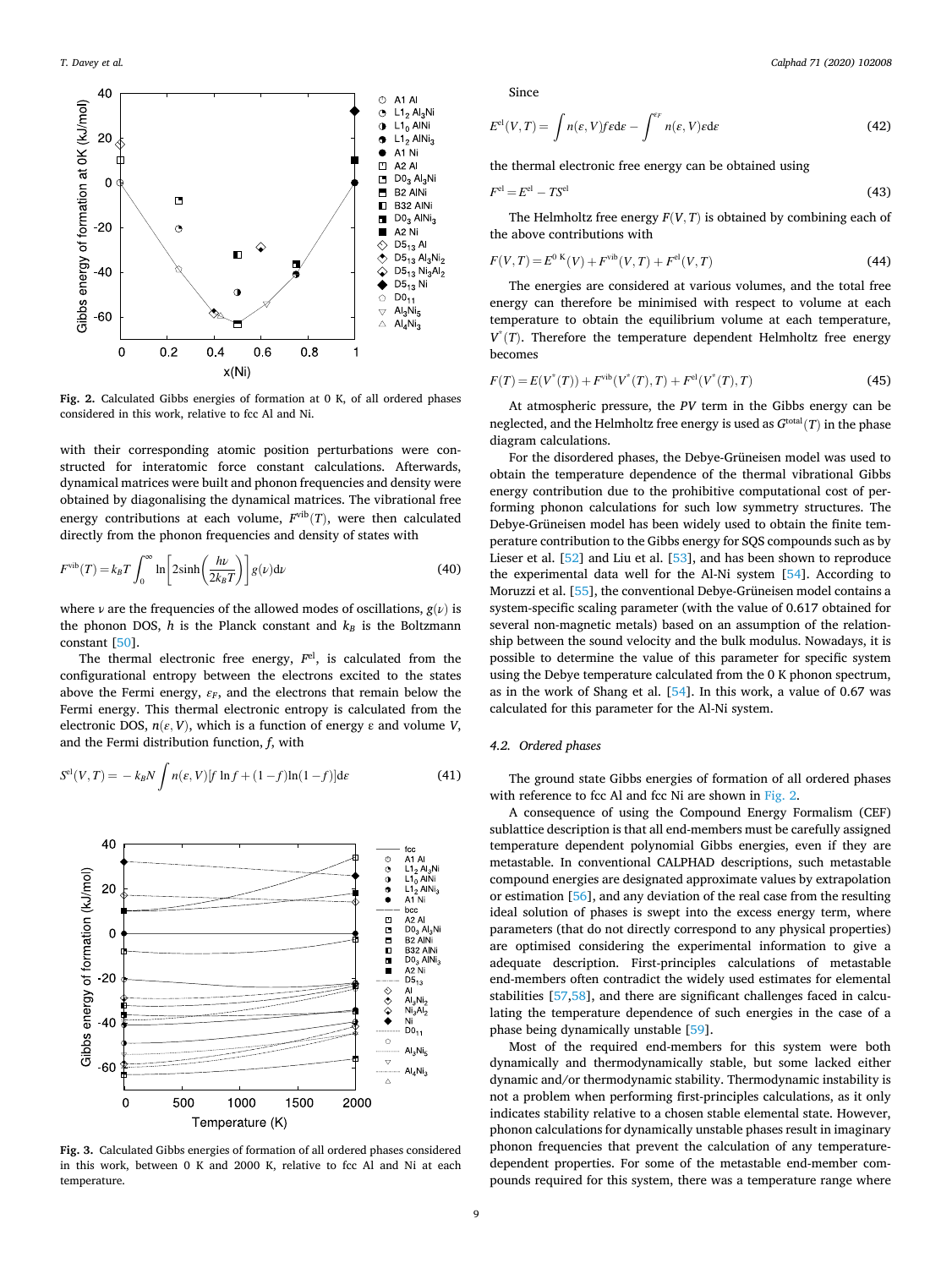<span id="page-8-0"></span>

**Fig. 2.** Calculated Gibbs energies of formation at 0 K, of all ordered phases considered in this work, relative to fcc Al and Ni.

with their corresponding atomic position perturbations were constructed for interatomic force constant calculations. Afterwards, dynamical matrices were built and phonon frequencies and density were obtained by diagonalising the dynamical matrices. The vibrational free energy contributions at each volume,  $F<sup>vib</sup>(T)$ , were then calculated directly from the phonon frequencies and density of states with

$$
F^{\text{vib}}(T) = k_B T \int_0^\infty \ln \left[ 2 \sinh \left( \frac{h\nu}{2k_B T} \right) \right] g(\nu) d\nu \tag{40}
$$

where *ν* are the frequencies of the allowed modes of oscillations,  $g(\nu)$  is the phonon DOS,  $h$  is the Planck constant and  $k_B$  is the Boltzmann constant [\[50](#page-15-0)].

The thermal electronic free energy, *F*el, is calculated from the configurational entropy between the electrons excited to the states above the Fermi energy,  $\varepsilon_F$ , and the electrons that remain below the Fermi energy. This thermal electronic entropy is calculated from the electronic DOS,  $n(\varepsilon, V)$ , which is a function of energy  $\varepsilon$  and volume *V*, and the Fermi distribution function, *f*, with

$$
Sel(V, T) = -k_B N \int n(\varepsilon, V) [f \ln f + (1 - f) \ln (1 - f)] d\varepsilon
$$
 (41)



**Fig. 3.** Calculated Gibbs energies of formation of all ordered phases considered in this work, between 0 K and 2000 K, relative to fcc Al and Ni at each temperature.

Since

$$
E^{\text{el}}(V,T) = \int n(\varepsilon, V) f \epsilon \, \mathrm{d}\varepsilon - \int^{\varepsilon_F} n(\varepsilon, V) \varepsilon \, \mathrm{d}\varepsilon \tag{42}
$$

the thermal electronic free energy can be obtained using

$$
F^{\rm el} = E^{\rm el} - T S^{\rm el} \tag{43}
$$

The Helmholtz free energy  $F(V, T)$  is obtained by combining each of the above contributions with

$$
F(V,T) = E^{0 K}(V) + F^{\text{vib}}(V,T) + F^{\text{el}}(V,T)
$$
\n(44)

The energies are considered at various volumes, and the total free energy can therefore be minimised with respect to volume at each temperature to obtain the equilibrium volume at each temperature,  $V^*(T)$ . Therefore the temperature dependent Helmholtz free energy becomes

$$
F(T) = E(V^*(T)) + F^{\text{vib}}(V^*(T), T) + F^{\text{el}}(V^*(T), T)
$$
\n(45)

At atmospheric pressure, the *PV* term in the Gibbs energy can be neglected, and the Helmholtz free energy is used as  $G^{\text{total}}(T)$  in the phase diagram calculations.

For the disordered phases, the Debye-Grüneisen model was used to obtain the temperature dependence of the thermal vibrational Gibbs energy contribution due to the prohibitive computational cost of performing phonon calculations for such low symmetry structures. The Debye-Grüneisen model has been widely used to obtain the finite temperature contribution to the Gibbs energy for SQS compounds such as by Lieser et al. [\[52](#page-15-0)] and Liu et al. [\[53](#page-15-0)], and has been shown to reproduce the experimental data well for the Al-Ni system [\[54](#page-15-0)]. According to Moruzzi et al. [[55\]](#page-15-0), the conventional Debye-Grüneisen model contains a system-specific scaling parameter (with the value of 0.617 obtained for several non-magnetic metals) based on an assumption of the relationship between the sound velocity and the bulk modulus. Nowadays, it is possible to determine the value of this parameter for specific system using the Debye temperature calculated from the 0 K phonon spectrum, as in the work of Shang et al. [\[54](#page-15-0)]. In this work, a value of 0.67 was calculated for this parameter for the Al-Ni system.

# *4.2. Ordered phases*

The ground state Gibbs energies of formation of all ordered phases with reference to fcc Al and fcc Ni are shown in Fig. 2.

A consequence of using the Compound Energy Formalism (CEF) sublattice description is that all end-members must be carefully assigned temperature dependent polynomial Gibbs energies, even if they are metastable. In conventional CALPHAD descriptions, such metastable compound energies are designated approximate values by extrapolation or estimation [[56](#page-15-0)], and any deviation of the real case from the resulting ideal solution of phases is swept into the excess energy term, where parameters (that do not directly correspond to any physical properties) are optimised considering the experimental information to give a adequate description. First-principles calculations of metastable end-members often contradict the widely used estimates for elemental stabilities [[57,58\]](#page-15-0), and there are significant challenges faced in calculating the temperature dependence of such energies in the case of a phase being dynamically unstable [\[59](#page-15-0)].

Most of the required end-members for this system were both dynamically and thermodynamically stable, but some lacked either dynamic and/or thermodynamic stability. Thermodynamic instability is not a problem when performing first-principles calculations, as it only indicates stability relative to a chosen stable elemental state. However, phonon calculations for dynamically unstable phases result in imaginary phonon frequencies that prevent the calculation of any temperaturedependent properties. For some of the metastable end-member compounds required for this system, there was a temperature range where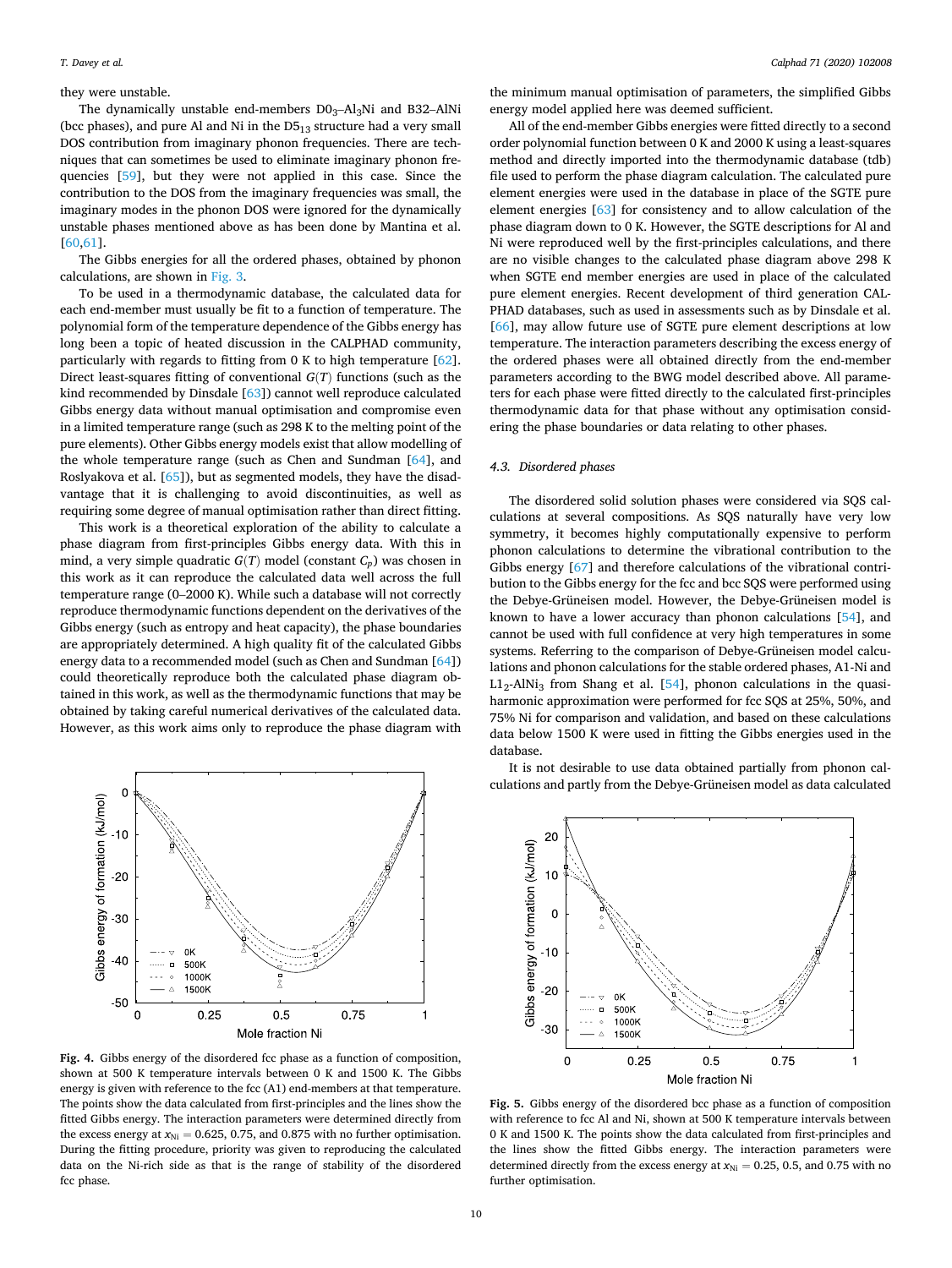#### <span id="page-9-0"></span>they were unstable.

The dynamically unstable end-members  $D0<sub>3</sub>$ -Al<sub>3</sub>Ni and B32-AlNi (bcc phases), and pure Al and Ni in the  $D5<sub>13</sub>$  structure had a very small DOS contribution from imaginary phonon frequencies. There are techniques that can sometimes be used to eliminate imaginary phonon frequencies [\[59](#page-15-0)], but they were not applied in this case. Since the contribution to the DOS from the imaginary frequencies was small, the imaginary modes in the phonon DOS were ignored for the dynamically unstable phases mentioned above as has been done by Mantina et al. [[60,61](#page-15-0)].

The Gibbs energies for all the ordered phases, obtained by phonon calculations, are shown in [Fig. 3](#page-8-0).

To be used in a thermodynamic database, the calculated data for each end-member must usually be fit to a function of temperature. The polynomial form of the temperature dependence of the Gibbs energy has long been a topic of heated discussion in the CALPHAD community, particularly with regards to fitting from 0 K to high temperature [\[62](#page-15-0)]. Direct least-squares fitting of conventional *G*(*T*) functions (such as the kind recommended by Dinsdale [\[63](#page-15-0)]) cannot well reproduce calculated Gibbs energy data without manual optimisation and compromise even in a limited temperature range (such as 298 K to the melting point of the pure elements). Other Gibbs energy models exist that allow modelling of the whole temperature range (such as Chen and Sundman [[64\]](#page-15-0), and Roslyakova et al. [[65\]](#page-15-0)), but as segmented models, they have the disadvantage that it is challenging to avoid discontinuities, as well as requiring some degree of manual optimisation rather than direct fitting.

This work is a theoretical exploration of the ability to calculate a phase diagram from first-principles Gibbs energy data. With this in mind, a very simple quadratic  $G(T)$  model (constant  $C_p$ ) was chosen in this work as it can reproduce the calculated data well across the full temperature range (0–2000 K). While such a database will not correctly reproduce thermodynamic functions dependent on the derivatives of the Gibbs energy (such as entropy and heat capacity), the phase boundaries are appropriately determined. A high quality fit of the calculated Gibbs energy data to a recommended model (such as Chen and Sundman [\[64](#page-15-0)]) could theoretically reproduce both the calculated phase diagram obtained in this work, as well as the thermodynamic functions that may be obtained by taking careful numerical derivatives of the calculated data. However, as this work aims only to reproduce the phase diagram with



**Fig. 4.** Gibbs energy of the disordered fcc phase as a function of composition, shown at 500 K temperature intervals between 0 K and 1500 K. The Gibbs energy is given with reference to the fcc (A1) end-members at that temperature. The points show the data calculated from first-principles and the lines show the fitted Gibbs energy. The interaction parameters were determined directly from the excess energy at  $x_{\text{Ni}} = 0.625$ , 0.75, and 0.875 with no further optimisation. During the fitting procedure, priority was given to reproducing the calculated data on the Ni-rich side as that is the range of stability of the disordered fcc phase.

the minimum manual optimisation of parameters, the simplified Gibbs energy model applied here was deemed sufficient.

All of the end-member Gibbs energies were fitted directly to a second order polynomial function between 0 K and 2000 K using a least-squares method and directly imported into the thermodynamic database (tdb) file used to perform the phase diagram calculation. The calculated pure element energies were used in the database in place of the SGTE pure element energies [\[63](#page-15-0)] for consistency and to allow calculation of the phase diagram down to 0 K. However, the SGTE descriptions for Al and Ni were reproduced well by the first-principles calculations, and there are no visible changes to the calculated phase diagram above 298 K when SGTE end member energies are used in place of the calculated pure element energies. Recent development of third generation CAL-PHAD databases, such as used in assessments such as by Dinsdale et al. [[66\]](#page-15-0), may allow future use of SGTE pure element descriptions at low temperature. The interaction parameters describing the excess energy of the ordered phases were all obtained directly from the end-member parameters according to the BWG model described above. All parameters for each phase were fitted directly to the calculated first-principles thermodynamic data for that phase without any optimisation considering the phase boundaries or data relating to other phases.

# *4.3. Disordered phases*

The disordered solid solution phases were considered via SQS calculations at several compositions. As SQS naturally have very low symmetry, it becomes highly computationally expensive to perform phonon calculations to determine the vibrational contribution to the Gibbs energy [\[67](#page-15-0)] and therefore calculations of the vibrational contribution to the Gibbs energy for the fcc and bcc SQS were performed using the Debye-Grüneisen model. However, the Debye-Grüneisen model is known to have a lower accuracy than phonon calculations [[54\]](#page-15-0), and cannot be used with full confidence at very high temperatures in some systems. Referring to the comparison of Debye-Grüneisen model calculations and phonon calculations for the stable ordered phases, A1-Ni and  $L1<sub>2</sub>$ -AlNi<sub>3</sub> from Shang et al. [\[54](#page-15-0)], phonon calculations in the quasiharmonic approximation were performed for fcc SQS at 25%, 50%, and 75% Ni for comparison and validation, and based on these calculations data below 1500 K were used in fitting the Gibbs energies used in the database.

It is not desirable to use data obtained partially from phonon calculations and partly from the Debye-Grüneisen model as data calculated



**Fig. 5.** Gibbs energy of the disordered bcc phase as a function of composition with reference to fcc Al and Ni, shown at 500 K temperature intervals between 0 K and 1500 K. The points show the data calculated from first-principles and the lines show the fitted Gibbs energy. The interaction parameters were determined directly from the excess energy at  $x_{\text{Ni}} = 0.25$ , 0.5, and 0.75 with no further optimisation.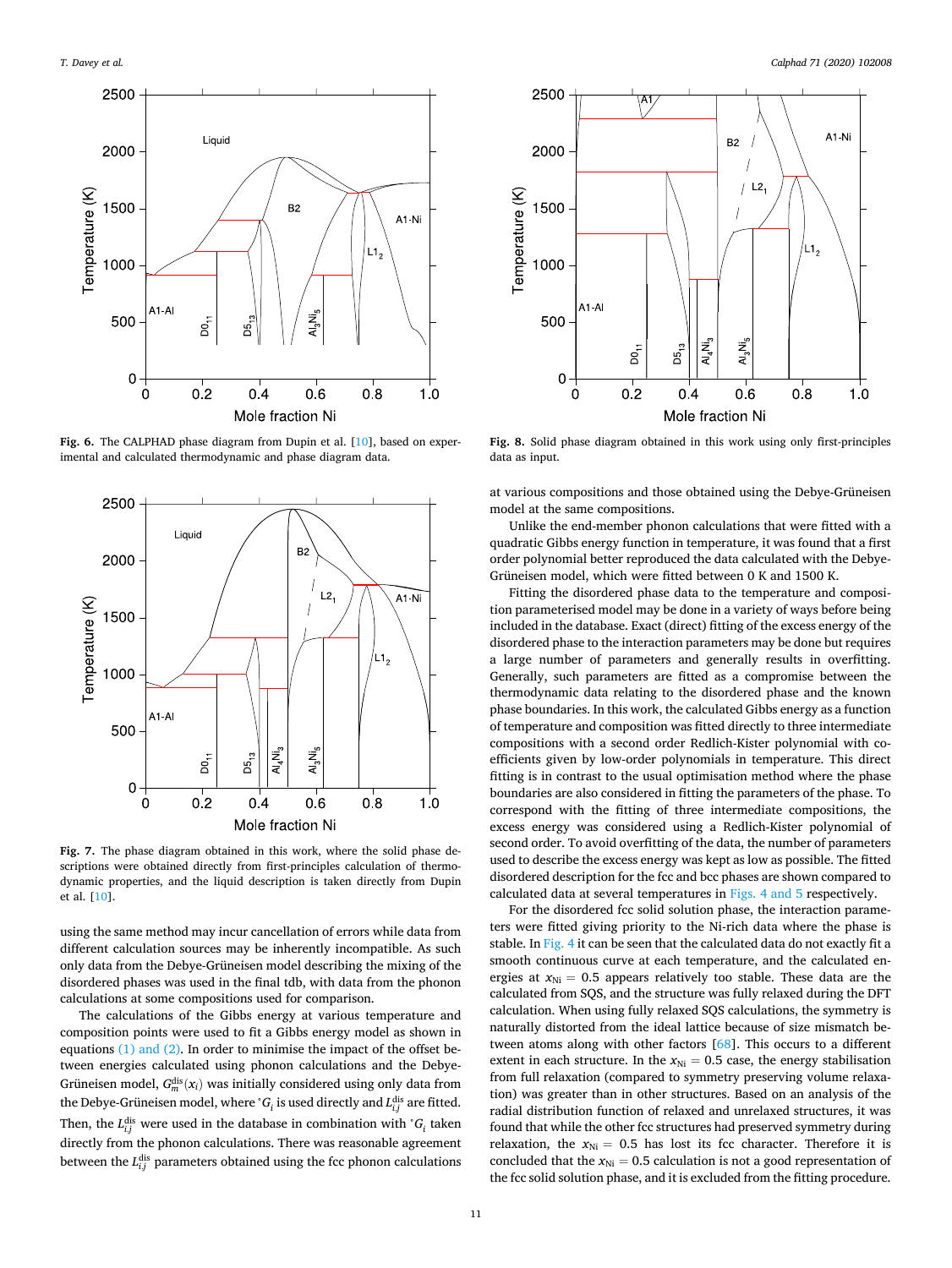<span id="page-10-0"></span>

**Fig. 6.** The CALPHAD phase diagram from Dupin et al. [\[10](#page-15-0)], based on experimental and calculated thermodynamic and phase diagram data.



**Fig. 7.** The phase diagram obtained in this work, where the solid phase descriptions were obtained directly from first-principles calculation of thermodynamic properties, and the liquid description is taken directly from Dupin et al. [\[10](#page-15-0)].

using the same method may incur cancellation of errors while data from different calculation sources may be inherently incompatible. As such only data from the Debye-Grüneisen model describing the mixing of the disordered phases was used in the final tdb, with data from the phonon calculations at some compositions used for comparison.

The calculations of the Gibbs energy at various temperature and composition points were used to fit a Gibbs energy model as shown in equations [\(1\) and \(2\).](#page-2-0) In order to minimise the impact of the offset between energies calculated using phonon calculations and the Debye-Grüneisen model,  $G_m^{\text{dis}}(x_i)$  was initially considered using only data from the Debye-Grüneisen model, where  ${}^{\circ}G_i$  is used directly and  $L_{i,j}^{\text{dis}}$  are fitted. Then, the  $L_{i,j}^{\text{dis}}$  were used in the database in combination with  ${}^{\circ}G_i$  taken directly from the phonon calculations. There was reasonable agreement between the  $L_{i,j}^{\text{dis}}$  parameters obtained using the fcc phonon calculations



**Fig. 8.** Solid phase diagram obtained in this work using only first-principles data as input.

at various compositions and those obtained using the Debye-Grüneisen model at the same compositions.

Unlike the end-member phonon calculations that were fitted with a quadratic Gibbs energy function in temperature, it was found that a first order polynomial better reproduced the data calculated with the Debye-Grüneisen model, which were fitted between 0 K and 1500 K.

Fitting the disordered phase data to the temperature and composition parameterised model may be done in a variety of ways before being included in the database. Exact (direct) fitting of the excess energy of the disordered phase to the interaction parameters may be done but requires a large number of parameters and generally results in overfitting. Generally, such parameters are fitted as a compromise between the thermodynamic data relating to the disordered phase and the known phase boundaries. In this work, the calculated Gibbs energy as a function of temperature and composition was fitted directly to three intermediate compositions with a second order Redlich-Kister polynomial with coefficients given by low-order polynomials in temperature. This direct fitting is in contrast to the usual optimisation method where the phase boundaries are also considered in fitting the parameters of the phase. To correspond with the fitting of three intermediate compositions, the excess energy was considered using a Redlich-Kister polynomial of second order. To avoid overfitting of the data, the number of parameters used to describe the excess energy was kept as low as possible. The fitted disordered description for the fcc and bcc phases are shown compared to calculated data at several temperatures in [Figs. 4 and 5](#page-9-0) respectively.

For the disordered fcc solid solution phase, the interaction parameters were fitted giving priority to the Ni-rich data where the phase is stable. In [Fig. 4](#page-9-0) it can be seen that the calculated data do not exactly fit a smooth continuous curve at each temperature, and the calculated energies at  $x_{\text{Ni}} = 0.5$  appears relatively too stable. These data are the calculated from SQS, and the structure was fully relaxed during the DFT calculation. When using fully relaxed SQS calculations, the symmetry is naturally distorted from the ideal lattice because of size mismatch between atoms along with other factors [[68\]](#page-15-0). This occurs to a different extent in each structure. In the  $x_{\text{Ni}} = 0.5$  case, the energy stabilisation from full relaxation (compared to symmetry preserving volume relaxation) was greater than in other structures. Based on an analysis of the radial distribution function of relaxed and unrelaxed structures, it was found that while the other fcc structures had preserved symmetry during relaxation, the  $x_{\text{Ni}} = 0.5$  has lost its fcc character. Therefore it is concluded that the  $x_{\text{Ni}} = 0.5$  calculation is not a good representation of the fcc solid solution phase, and it is excluded from the fitting procedure.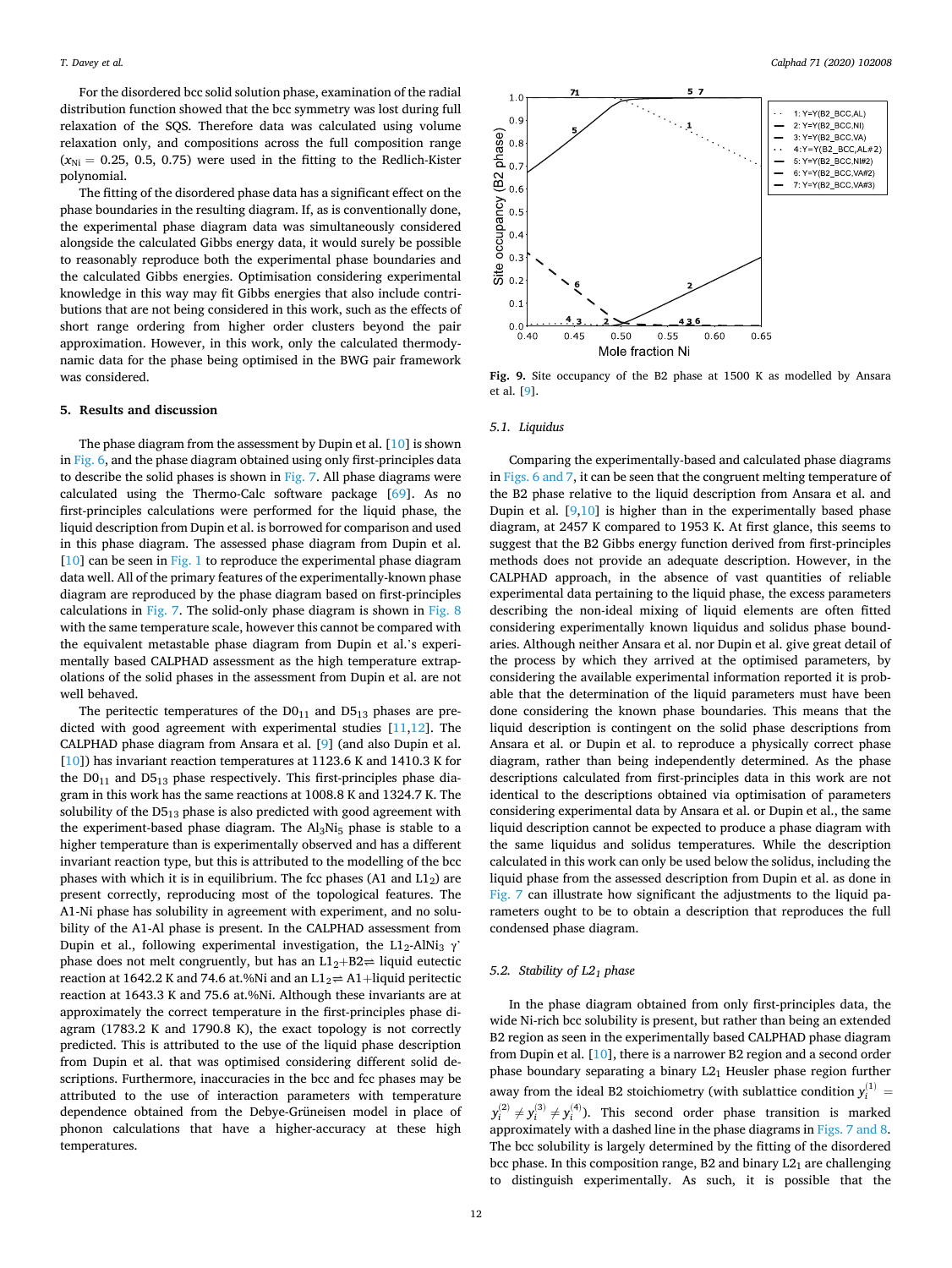<span id="page-11-0"></span>For the disordered bcc solid solution phase, examination of the radial distribution function showed that the bcc symmetry was lost during full relaxation of the SQS. Therefore data was calculated using volume relaxation only, and compositions across the full composition range  $(x_{\text{Ni}} = 0.25, 0.5, 0.75)$  were used in the fitting to the Redlich-Kister polynomial.

The fitting of the disordered phase data has a significant effect on the phase boundaries in the resulting diagram. If, as is conventionally done, the experimental phase diagram data was simultaneously considered alongside the calculated Gibbs energy data, it would surely be possible to reasonably reproduce both the experimental phase boundaries and the calculated Gibbs energies. Optimisation considering experimental knowledge in this way may fit Gibbs energies that also include contributions that are not being considered in this work, such as the effects of short range ordering from higher order clusters beyond the pair approximation. However, in this work, only the calculated thermodynamic data for the phase being optimised in the BWG pair framework was considered.

#### **5. Results and discussion**

The phase diagram from the assessment by Dupin et al. [\[10](#page-15-0)] is shown in [Fig. 6,](#page-10-0) and the phase diagram obtained using only first-principles data to describe the solid phases is shown in [Fig. 7.](#page-10-0) All phase diagrams were calculated using the Thermo-Calc software package [\[69](#page-15-0)]. As no first-principles calculations were performed for the liquid phase, the liquid description from Dupin et al. is borrowed for comparison and used in this phase diagram. The assessed phase diagram from Dupin et al.  $[10]$  $[10]$  can be seen in [Fig. 1](#page-1-0) to reproduce the experimental phase diagram data well. All of the primary features of the experimentally-known phase diagram are reproduced by the phase diagram based on first-principles calculations in [Fig. 7](#page-10-0). The solid-only phase diagram is shown in [Fig. 8](#page-10-0)  with the same temperature scale, however this cannot be compared with the equivalent metastable phase diagram from Dupin et al.'s experimentally based CALPHAD assessment as the high temperature extrapolations of the solid phases in the assessment from Dupin et al. are not well behaved.

The peritectic temperatures of the  $D0_{11}$  and  $D5_{13}$  phases are predicted with good agreement with experimental studies [[11,12](#page-15-0)]. The CALPHAD phase diagram from Ansara et al. [\[9\]](#page-14-0) (and also Dupin et al. [[10\]](#page-15-0)) has invariant reaction temperatures at 1123.6 K and 1410.3 K for the  $D0_{11}$  and  $D5_{13}$  phase respectively. This first-principles phase diagram in this work has the same reactions at 1008.8 K and 1324.7 K. The solubility of the  $D5_{13}$  phase is also predicted with good agreement with the experiment-based phase diagram. The  $Al<sub>3</sub>Ni<sub>5</sub>$  phase is stable to a higher temperature than is experimentally observed and has a different invariant reaction type, but this is attributed to the modelling of the bcc phases with which it is in equilibrium. The fcc phases (A1 and  $L1_2$ ) are present correctly, reproducing most of the topological features. The A1-Ni phase has solubility in agreement with experiment, and no solubility of the A1-Al phase is present. In the CALPHAD assessment from Dupin et al., following experimental investigation, the L1<sub>2</sub>-AlNi<sub>3</sub>  $\gamma$ <sup>'</sup> phase does not melt congruently, but has an  $L1_2+B2 \rightleftharpoons$  liquid eutectic reaction at 1642.2 K and 74.6 at.%Ni and an  $L1_2 \rightleftharpoons$  A1+liquid peritectic reaction at 1643.3 K and 75.6 at.%Ni. Although these invariants are at approximately the correct temperature in the first-principles phase diagram (1783.2 K and 1790.8 K), the exact topology is not correctly predicted. This is attributed to the use of the liquid phase description from Dupin et al. that was optimised considering different solid descriptions. Furthermore, inaccuracies in the bcc and fcc phases may be attributed to the use of interaction parameters with temperature dependence obtained from the Debye-Grüneisen model in place of phonon calculations that have a higher-accuracy at these high temperatures.



**Fig. 9.** Site occupancy of the B2 phase at 1500 K as modelled by Ansara et al. [\[9](#page-14-0)].

#### *5.1. Liquidus*

Comparing the experimentally-based and calculated phase diagrams in [Figs. 6 and 7,](#page-10-0) it can be seen that the congruent melting temperature of the B2 phase relative to the liquid description from Ansara et al. and Dupin et al.  $[9,10]$  $[9,10]$  $[9,10]$  $[9,10]$  is higher than in the experimentally based phase diagram, at 2457 K compared to 1953 K. At first glance, this seems to suggest that the B2 Gibbs energy function derived from first-principles methods does not provide an adequate description. However, in the CALPHAD approach, in the absence of vast quantities of reliable experimental data pertaining to the liquid phase, the excess parameters describing the non-ideal mixing of liquid elements are often fitted considering experimentally known liquidus and solidus phase boundaries. Although neither Ansara et al. nor Dupin et al. give great detail of the process by which they arrived at the optimised parameters, by considering the available experimental information reported it is probable that the determination of the liquid parameters must have been done considering the known phase boundaries. This means that the liquid description is contingent on the solid phase descriptions from Ansara et al. or Dupin et al. to reproduce a physically correct phase diagram, rather than being independently determined. As the phase descriptions calculated from first-principles data in this work are not identical to the descriptions obtained via optimisation of parameters considering experimental data by Ansara et al. or Dupin et al., the same liquid description cannot be expected to produce a phase diagram with the same liquidus and solidus temperatures. While the description calculated in this work can only be used below the solidus, including the liquid phase from the assessed description from Dupin et al. as done in [Fig. 7](#page-10-0) can illustrate how significant the adjustments to the liquid parameters ought to be to obtain a description that reproduces the full condensed phase diagram.

#### *5.2. Stability of L21 phase*

In the phase diagram obtained from only first-principles data, the wide Ni-rich bcc solubility is present, but rather than being an extended B2 region as seen in the experimentally based CALPHAD phase diagram from Dupin et al. [\[10](#page-15-0)], there is a narrower B2 region and a second order phase boundary separating a binary  $L2<sub>1</sub>$  Heusler phase region further away from the ideal B2 stoichiometry (with sublattice condition  $y_i^{(1)} =$  $y_i^{(2)} \neq y_i^{(3)} \neq y_i^{(4)}$ ). This second order phase transition is marked approximately with a dashed line in the phase diagrams in [Figs. 7 and 8](#page-10-0). The bcc solubility is largely determined by the fitting of the disordered bcc phase. In this composition range, B2 and binary  $L2<sub>1</sub>$  are challenging to distinguish experimentally. As such, it is possible that the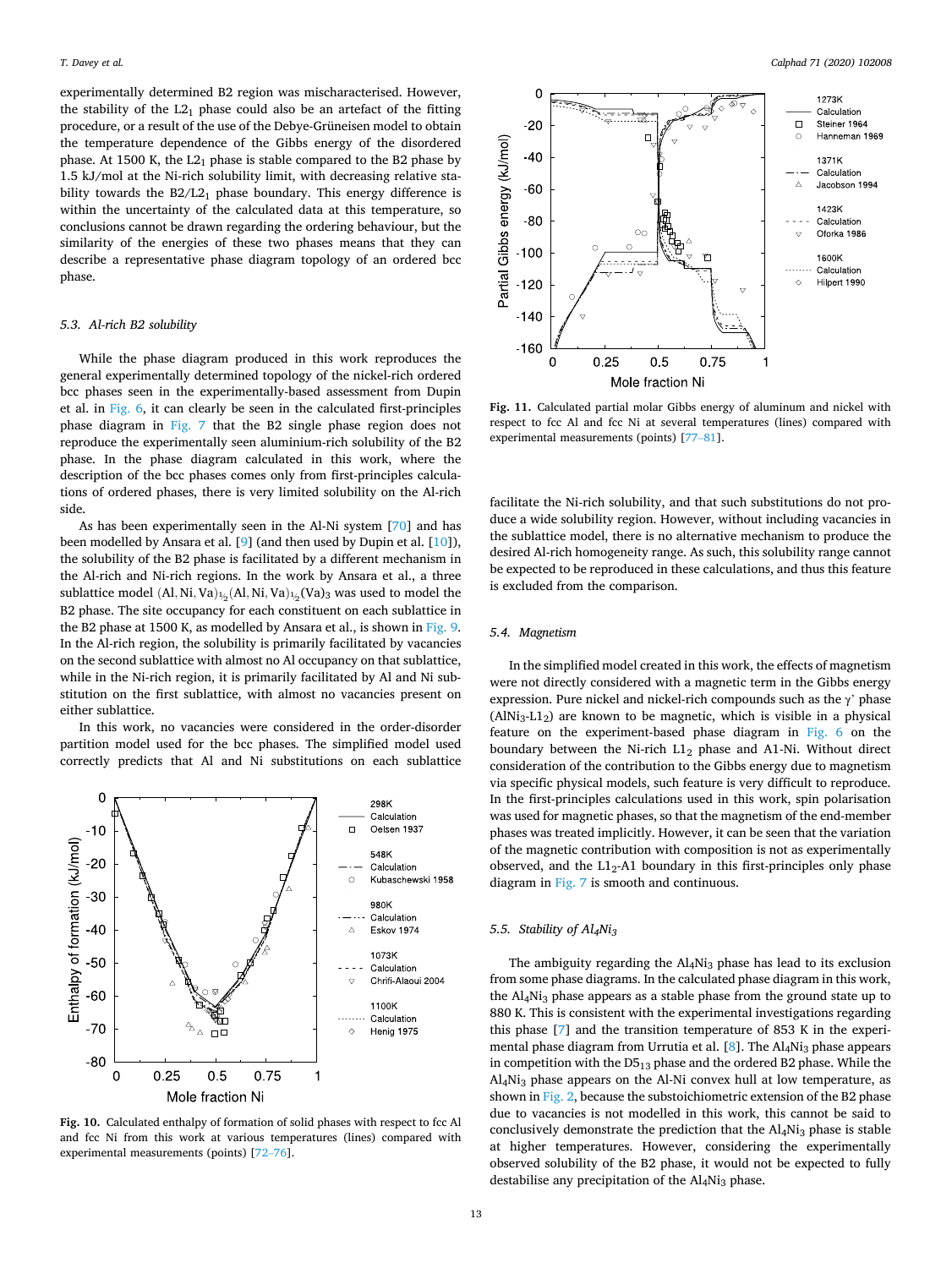<span id="page-12-0"></span>experimentally determined B2 region was mischaracterised. However, the stability of the  $L2_1$  phase could also be an artefact of the fitting procedure, or a result of the use of the Debye-Grüneisen model to obtain the temperature dependence of the Gibbs energy of the disordered phase. At 1500 K, the  $L2_1$  phase is stable compared to the B2 phase by 1.5 kJ/mol at the Ni-rich solubility limit, with decreasing relative stability towards the  $B2/L2<sub>1</sub>$  phase boundary. This energy difference is within the uncertainty of the calculated data at this temperature, so conclusions cannot be drawn regarding the ordering behaviour, but the similarity of the energies of these two phases means that they can describe a representative phase diagram topology of an ordered bcc phase.

## *5.3. Al-rich B2 solubility*

While the phase diagram produced in this work reproduces the general experimentally determined topology of the nickel-rich ordered bcc phases seen in the experimentally-based assessment from Dupin et al. in [Fig. 6](#page-10-0), it can clearly be seen in the calculated first-principles phase diagram in [Fig. 7](#page-10-0) that the B2 single phase region does not reproduce the experimentally seen aluminium-rich solubility of the B2 phase. In the phase diagram calculated in this work, where the description of the bcc phases comes only from first-principles calculations of ordered phases, there is very limited solubility on the Al-rich side.

As has been experimentally seen in the Al-Ni system [[70](#page-16-0)] and has been modelled by Ansara et al. [[9](#page-14-0)] (and then used by Dupin et al. [\[10](#page-15-0)]), the solubility of the B2 phase is facilitated by a different mechanism in the Al-rich and Ni-rich regions. In the work by Ansara et al., a three sublattice model  $(Al, Ni, Va)_{\frac{1}{2}}(Al, Ni, Va)_{\frac{1}{2}}(Va)_3$  was used to model the B2 phase. The site occupancy for each constituent on each sublattice in the B2 phase at 1500 K, as modelled by Ansara et al., is shown in [Fig. 9](#page-11-0). In the Al-rich region, the solubility is primarily facilitated by vacancies on the second sublattice with almost no Al occupancy on that sublattice, while in the Ni-rich region, it is primarily facilitated by Al and Ni substitution on the first sublattice, with almost no vacancies present on either sublattice.

In this work, no vacancies were considered in the order-disorder partition model used for the bcc phases. The simplified model used correctly predicts that Al and Ni substitutions on each sublattice



Fig. 10. Calculated enthalpy of formation of solid phases with respect to fcc Al and fcc Ni from this work at various temperatures (lines) compared with experimental measurements (points) [[72](#page-16-0)–76].



**Fig. 11.** Calculated partial molar Gibbs energy of aluminum and nickel with respect to fcc Al and fcc Ni at several temperatures (lines) compared with experimental measurements (points) [[77](#page-16-0)–81].

facilitate the Ni-rich solubility, and that such substitutions do not produce a wide solubility region. However, without including vacancies in the sublattice model, there is no alternative mechanism to produce the desired Al-rich homogeneity range. As such, this solubility range cannot be expected to be reproduced in these calculations, and thus this feature is excluded from the comparison.

#### *5.4. Magnetism*

In the simplified model created in this work, the effects of magnetism were not directly considered with a magnetic term in the Gibbs energy expression. Pure nickel and nickel-rich compounds such as the  $\gamma$ ' phase  $(AINi<sub>3</sub>-L1<sub>2</sub>)$  are known to be magnetic, which is visible in a physical feature on the experiment-based phase diagram in [Fig. 6](#page-10-0) on the boundary between the Ni-rich  $L1_2$  phase and A1-Ni. Without direct consideration of the contribution to the Gibbs energy due to magnetism via specific physical models, such feature is very difficult to reproduce. In the first-principles calculations used in this work, spin polarisation was used for magnetic phases, so that the magnetism of the end-member phases was treated implicitly. However, it can be seen that the variation of the magnetic contribution with composition is not as experimentally observed, and the  $L1<sub>2</sub>$ -A1 boundary in this first-principles only phase diagram in [Fig. 7](#page-10-0) is smooth and continuous.

# *5.5. Stability of Al4Ni3*

The ambiguity regarding the Al4Ni<sub>3</sub> phase has lead to its exclusion from some phase diagrams. In the calculated phase diagram in this work, the Al4Ni3 phase appears as a stable phase from the ground state up to 880 K. This is consistent with the experimental investigations regarding this phase [\[7\]](#page-14-0) and the transition temperature of 853 K in the experimental phase diagram from Urrutia et al.  $[8]$  $[8]$  $[8]$ . The Al<sub>4</sub>Ni<sub>3</sub> phase appears in competition with the  $D5_{13}$  phase and the ordered B2 phase. While the Al4Ni3 phase appears on the Al-Ni convex hull at low temperature, as shown in [Fig. 2](#page-8-0), because the substoichiometric extension of the B2 phase due to vacancies is not modelled in this work, this cannot be said to conclusively demonstrate the prediction that the Al<sub>4</sub>Ni<sub>3</sub> phase is stable at higher temperatures. However, considering the experimentally observed solubility of the B2 phase, it would not be expected to fully destabilise any precipitation of the Al<sub>4</sub>Ni<sub>3</sub> phase.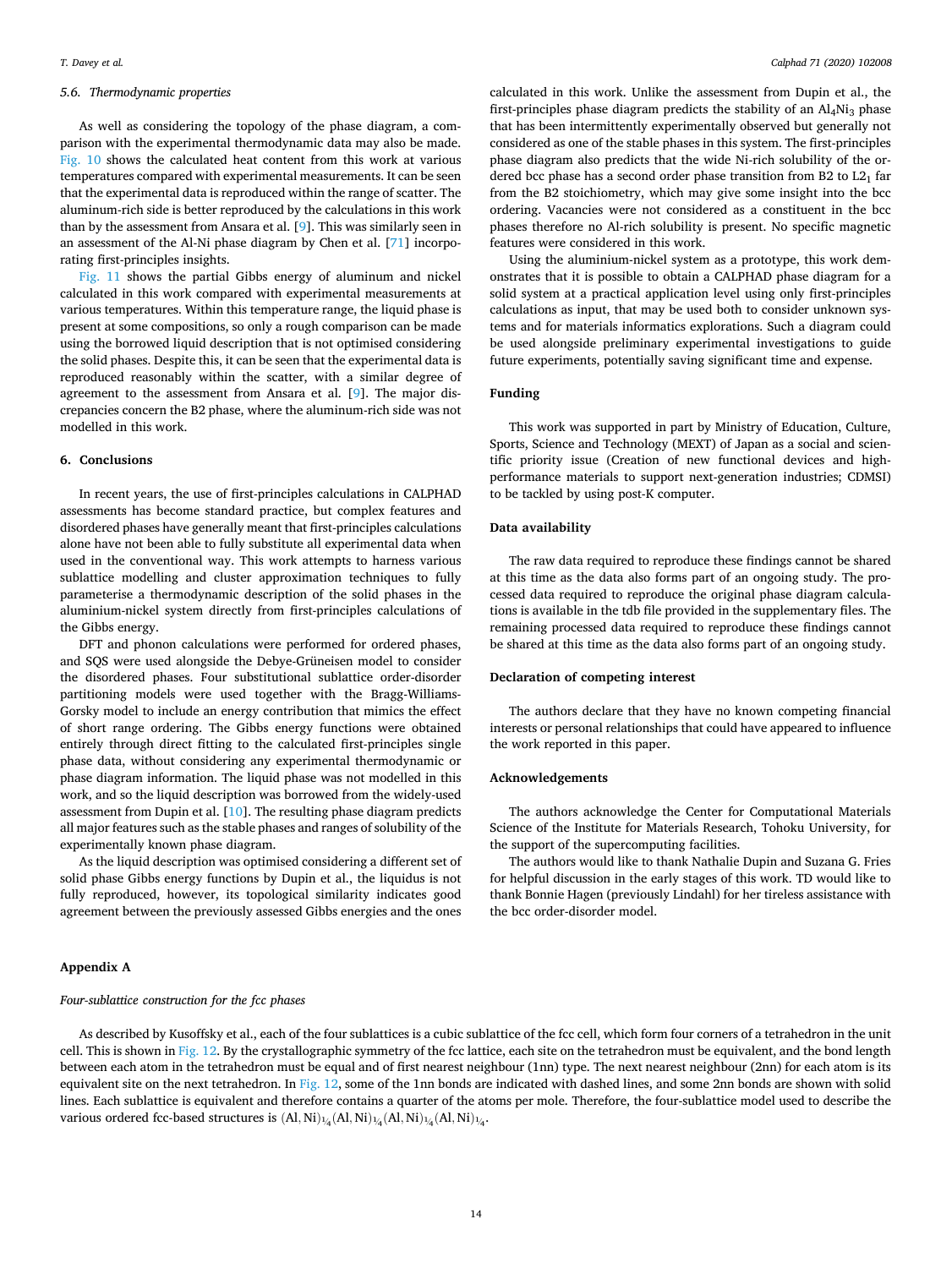# *5.6. Thermodynamic properties*

As well as considering the topology of the phase diagram, a comparison with the experimental thermodynamic data may also be made. [Fig. 10](#page-12-0) shows the calculated heat content from this work at various temperatures compared with experimental measurements. It can be seen that the experimental data is reproduced within the range of scatter. The aluminum-rich side is better reproduced by the calculations in this work than by the assessment from Ansara et al. [\[9\]](#page-14-0). This was similarly seen in an assessment of the Al-Ni phase diagram by Chen et al. [\[71](#page-16-0)] incorporating first-principles insights.

[Fig. 11](#page-12-0) shows the partial Gibbs energy of aluminum and nickel calculated in this work compared with experimental measurements at various temperatures. Within this temperature range, the liquid phase is present at some compositions, so only a rough comparison can be made using the borrowed liquid description that is not optimised considering the solid phases. Despite this, it can be seen that the experimental data is reproduced reasonably within the scatter, with a similar degree of agreement to the assessment from Ansara et al. [[9](#page-14-0)]. The major discrepancies concern the B2 phase, where the aluminum-rich side was not modelled in this work.

# **6. Conclusions**

In recent years, the use of first-principles calculations in CALPHAD assessments has become standard practice, but complex features and disordered phases have generally meant that first-principles calculations alone have not been able to fully substitute all experimental data when used in the conventional way. This work attempts to harness various sublattice modelling and cluster approximation techniques to fully parameterise a thermodynamic description of the solid phases in the aluminium-nickel system directly from first-principles calculations of the Gibbs energy.

DFT and phonon calculations were performed for ordered phases, and SQS were used alongside the Debye-Grüneisen model to consider the disordered phases. Four substitutional sublattice order-disorder partitioning models were used together with the Bragg-Williams-Gorsky model to include an energy contribution that mimics the effect of short range ordering. The Gibbs energy functions were obtained entirely through direct fitting to the calculated first-principles single phase data, without considering any experimental thermodynamic or phase diagram information. The liquid phase was not modelled in this work, and so the liquid description was borrowed from the widely-used assessment from Dupin et al. [[10\]](#page-15-0). The resulting phase diagram predicts all major features such as the stable phases and ranges of solubility of the experimentally known phase diagram.

As the liquid description was optimised considering a different set of solid phase Gibbs energy functions by Dupin et al., the liquidus is not fully reproduced, however, its topological similarity indicates good agreement between the previously assessed Gibbs energies and the ones

#### **Appendix A**

#### *Four-sublattice construction for the fcc phases*

calculated in this work. Unlike the assessment from Dupin et al., the first-principles phase diagram predicts the stability of an  $\text{Al}_4\text{Ni}_3$  phase that has been intermittently experimentally observed but generally not considered as one of the stable phases in this system. The first-principles phase diagram also predicts that the wide Ni-rich solubility of the ordered bcc phase has a second order phase transition from B2 to  $L2<sub>1</sub>$  far from the B2 stoichiometry, which may give some insight into the bcc ordering. Vacancies were not considered as a constituent in the bcc phases therefore no Al-rich solubility is present. No specific magnetic features were considered in this work.

Using the aluminium-nickel system as a prototype, this work demonstrates that it is possible to obtain a CALPHAD phase diagram for a solid system at a practical application level using only first-principles calculations as input, that may be used both to consider unknown systems and for materials informatics explorations. Such a diagram could be used alongside preliminary experimental investigations to guide future experiments, potentially saving significant time and expense.

# **Funding**

This work was supported in part by Ministry of Education, Culture, Sports, Science and Technology (MEXT) of Japan as a social and scientific priority issue (Creation of new functional devices and highperformance materials to support next-generation industries; CDMSI) to be tackled by using post-K computer.

# **Data availability**

The raw data required to reproduce these findings cannot be shared at this time as the data also forms part of an ongoing study. The processed data required to reproduce the original phase diagram calculations is available in the tdb file provided in the supplementary files. The remaining processed data required to reproduce these findings cannot be shared at this time as the data also forms part of an ongoing study.

#### **Declaration of competing interest**

The authors declare that they have no known competing financial interests or personal relationships that could have appeared to influence the work reported in this paper.

#### **Acknowledgements**

The authors acknowledge the Center for Computational Materials Science of the Institute for Materials Research, Tohoku University, for the support of the supercomputing facilities.

The authors would like to thank Nathalie Dupin and Suzana G. Fries for helpful discussion in the early stages of this work. TD would like to thank Bonnie Hagen (previously Lindahl) for her tireless assistance with the bcc order-disorder model.

As described by Kusoffsky et al., each of the four sublattices is a cubic sublattice of the fcc cell, which form four corners of a tetrahedron in the unit cell. This is shown in Fig. 12. By the crystallographic symmetry of the fcc lattice, each site on the tetrahedron must be equivalent, and the bond length between each atom in the tetrahedron must be equal and of first nearest neighbour (1nn) type. The next nearest neighbour (2nn) for each atom is its equivalent site on the next tetrahedron. In Fig. 12, some of the 1nn bonds are indicated with dashed lines, and some 2nn bonds are shown with solid lines. Each sublattice is equivalent and therefore contains a quarter of the atoms per mole. Therefore, the four-sublattice model used to describe the various ordered fcc-based structures is  $(Al,Ni)_{\frac{1}{4}}(Al,Ni)_{\frac{1}{4}}(Al,Ni)_{\frac{1}{4}}(Al,Ni)_{\frac{1}{4}}.$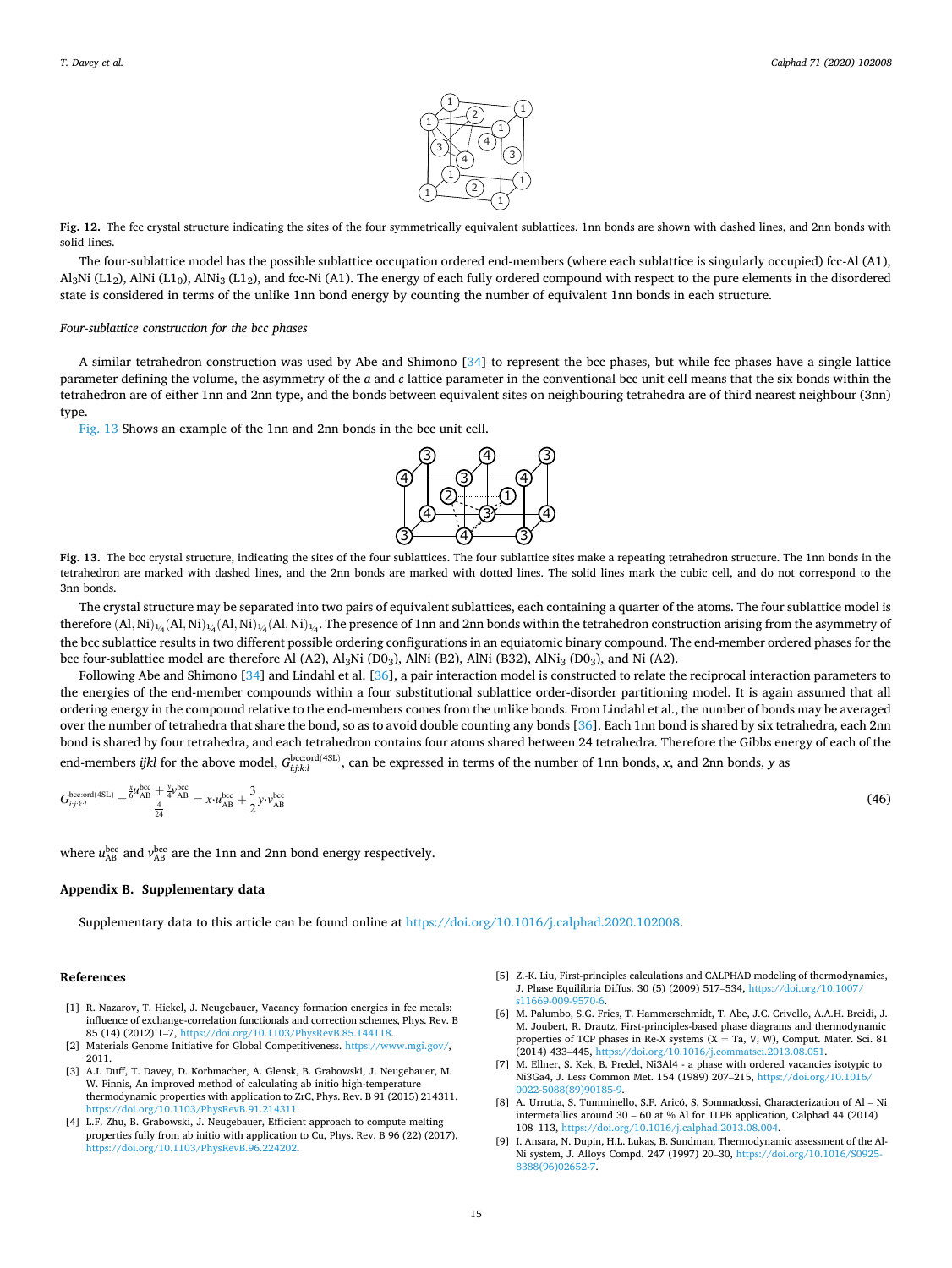

<span id="page-14-0"></span>**Fig. 12.** The fcc crystal structure indicating the sites of the four symmetrically equivalent sublattices. 1nn bonds are shown with dashed lines, and 2nn bonds with solid lines.

The four-sublattice model has the possible sublattice occupation ordered end-members (where each sublattice is singularly occupied) fcc-Al (A1),  $A<sub>3</sub>Ni$  (L1<sub>2</sub>), AlNi (L1<sub>0</sub>), AlNi<sub>3</sub> (L1<sub>2</sub>), and fcc-Ni (A1). The energy of each fully ordered compound with respect to the pure elements in the disordered state is considered in terms of the unlike 1nn bond energy by counting the number of equivalent 1nn bonds in each structure.

#### *Four-sublattice construction for the bcc phases*

A similar tetrahedron construction was used by Abe and Shimono [\[34](#page-15-0)] to represent the bcc phases, but while fcc phases have a single lattice parameter defining the volume, the asymmetry of the *a* and *c* lattice parameter in the conventional bcc unit cell means that the six bonds within the tetrahedron are of either 1nn and 2nn type, and the bonds between equivalent sites on neighbouring tetrahedra are of third nearest neighbour (3nn) type

Fig. 13 Shows an example of the 1nn and 2nn bonds in the bcc unit cell.



**Fig. 13.** The bcc crystal structure, indicating the sites of the four sublattices. The four sublattice sites make a repeating tetrahedron structure. The 1nn bonds in the tetrahedron are marked with dashed lines, and the 2nn bonds are marked with dotted lines. The solid lines mark the cubic cell, and do not correspond to the 3nn bonds.

The crystal structure may be separated into two pairs of equivalent sublattices, each containing a quarter of the atoms. The four sublattice model is therefore (Al*,* Ni)<sup>1</sup> */* <sup>4</sup>(Al*,* Ni)<sup>1</sup> */* <sup>4</sup>(Al*,* Ni)<sup>1</sup> */* <sup>4</sup>(Al*,* Ni)<sup>1</sup> */* <sup>4</sup>. The presence of 1nn and 2nn bonds within the tetrahedron construction arising from the asymmetry of the bcc sublattice results in two different possible ordering configurations in an equiatomic binary compound. The end-member ordered phases for the bcc four-sublattice model are therefore Al (A2), Al $_3$ Ni (D0 $_3$ ), AlNi (B2), AlNi (B32), AlNi $_3$  (D0 $_3$ ), and Ni (A2).

Following Abe and Shimono [[34\]](#page-15-0) and Lindahl et al. [\[36](#page-15-0)], a pair interaction model is constructed to relate the reciprocal interaction parameters to the energies of the end-member compounds within a four substitutional sublattice order-disorder partitioning model. It is again assumed that all ordering energy in the compound relative to the end-members comes from the unlike bonds. From Lindahl et al., the number of bonds may be averaged over the number of tetrahedra that share the bond, so as to avoid double counting any bonds [[36\]](#page-15-0). Each 1nn bond is shared by six tetrahedra, each 2nn bond is shared by four tetrahedra, and each tetrahedron contains four atoms shared between 24 tetrahedra. Therefore the Gibbs energy of each of the end-members *ijkl* for the above model,  $G_{tj:kt,l}^{\text{bccord(4SL)} }$ , can be expressed in terms of the number of 1nn bonds, *x*, and 2nn bonds, *y* as

$$
G_{ijkl}^{\text{bccord(4SL)}} = \frac{\frac{x}{6}u_{AB}^{\text{bcc}} + \frac{y}{4}v_{AB}^{\text{bcc}}}{\frac{4}{24}} = x \cdot u_{AB}^{\text{bcc}} + \frac{3}{2}y \cdot v_{AB}^{\text{bcc}} \tag{46}
$$

where  $u_{AB}^{bcc}$  and  $v_{AB}^{bcc}$  are the 1nn and 2nn bond energy respectively.

# **Appendix B. Supplementary data**

Supplementary data to this article can be found online at<https://doi.org/10.1016/j.calphad.2020.102008>.

# **References**

- [1] R. Nazarov, T. Hickel, J. Neugebauer, Vacancy formation energies in fcc metals: influence of exchange-correlation functionals and correction schemes, Phys. Rev. B 85 (14) (2012) 1–7, [https://doi.org/10.1103/PhysRevB.85.144118.](https://doi.org/10.1103/PhysRevB.85.144118)
- [2] Materials Genome Initiative for Global Competitiveness. [https://www.mgi.gov/,](https://www.mgi.gov/) 2011.
- [3] A.I. Duff, T. Davey, D. Korbmacher, A. Glensk, B. Grabowski, J. Neugebauer, M. W. Finnis, An improved method of calculating ab initio high-temperature thermodynamic properties with application to ZrC, Phys. Rev. B 91 (2015) 214311, [https://doi.org/10.1103/PhysRevB.91.214311.](https://doi.org/10.1103/PhysRevB.91.214311)
- [4] L.F. Zhu, B. Grabowski, J. Neugebauer, Efficient approach to compute melting properties fully from ab initio with application to Cu, Phys. Rev. B 96 (22) (2017), [https://doi.org/10.1103/PhysRevB.96.224202.](https://doi.org/10.1103/PhysRevB.96.224202)
- [5] Z.-K. Liu, First-principles calculations and CALPHAD modeling of thermodynamics, J. Phase Equilibria Diffus. 30 (5) (2009) 517–534, [https://doi.org/10.1007/](https://doi.org/10.1007/s11669-009-9570-6) [s11669-009-9570-6](https://doi.org/10.1007/s11669-009-9570-6).
- [6] M. Palumbo, S.G. Fries, T. Hammerschmidt, T. Abe, J.C. Crivello, A.A.H. Breidi, J. M. Joubert, R. Drautz, First-principles-based phase diagrams and thermodynamic properties of TCP phases in Re-X systems  $(X = Ta, V, W)$ , Comput. Mater. Sci. 81 (2014) 433–445, <https://doi.org/10.1016/j.commatsci.2013.08.051>.
- [7] M. Ellner, S. Kek, B. Predel, Ni3Al4 a phase with ordered vacancies isotypic to Ni3Ga4, J. Less Common Met. 154 (1989) 207–215, [https://doi.org/10.1016/](https://doi.org/10.1016/0022-5088(89)90185-9)  022-5088(89)90185-
- [8] A. Urrutia, S. Tumminello, S.F. Aricó, S. Sommadossi, Characterization of Al Ni intermetallics around 30 – 60 at % Al for TLPB application, Calphad 44 (2014) 108–113, [https://doi.org/10.1016/j.calphad.2013.08.004.](https://doi.org/10.1016/j.calphad.2013.08.004)
- [9] I. Ansara, N. Dupin, H.L. Lukas, B. Sundman, Thermodynamic assessment of the Al-Ni system, J. Alloys Compd. 247 (1997) 20–30, [https://doi.org/10.1016/S0925-](https://doi.org/10.1016/S0925-8388(96)02652-7) [8388\(96\)02652-7.](https://doi.org/10.1016/S0925-8388(96)02652-7)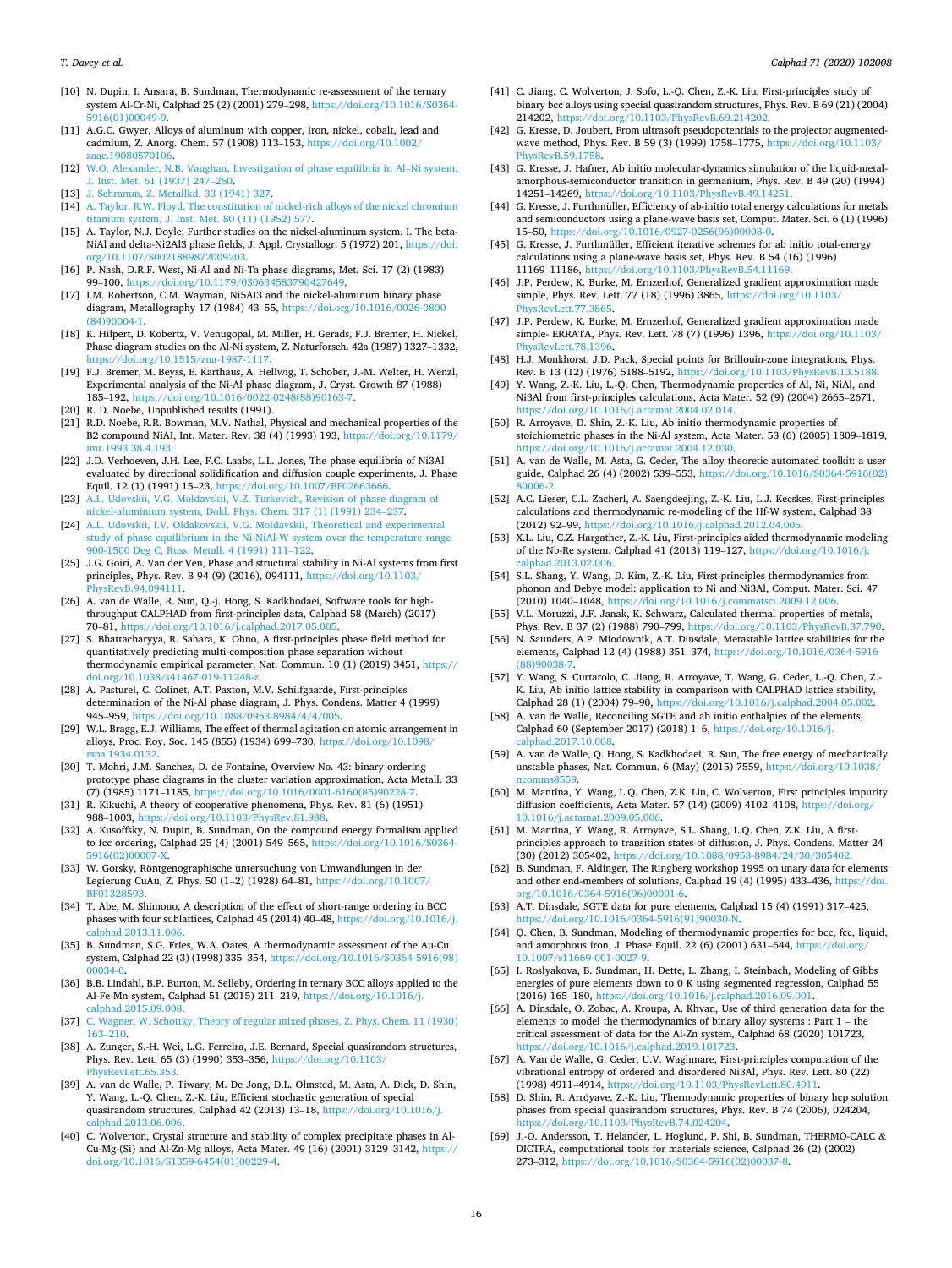- <span id="page-15-0"></span>[10] N. Dupin, I. Ansara, B. Sundman, Thermodynamic re-assessment of the ternary system Al-Cr-Ni, Calphad 25 (2) (2001) 279–298, [https://doi.org/10.1016/S0364-](https://doi.org/10.1016/S0364-5916(01)00049-9)  [5916\(01\)00049-9](https://doi.org/10.1016/S0364-5916(01)00049-9).
- [11] A.G.C. Gwyer, Alloys of aluminum with copper, iron, nickel, cobalt, lead and cadmium, Z. Anorg. Chem. 57 (1908) 113–153, [https://doi.org/10.1002/](https://doi.org/10.1002/zaac.19080570106) [zaac.19080570106.](https://doi.org/10.1002/zaac.19080570106)
- [12] [W.O. Alexander, N.B. Vaughan, Investigation of phase equilibria in Al](http://refhub.elsevier.com/S0364-5916(20)30272-8/sref12)–Ni system, [J. Inst. Met. 61 \(1937\) 247](http://refhub.elsevier.com/S0364-5916(20)30272-8/sref12)–260.
- [13] [J. Schramm, Z. Metallkd. 33 \(1941\) 327](http://refhub.elsevier.com/S0364-5916(20)30272-8/sref13).
- [14] [A. Taylor, R.W. Floyd, The constitution of nickel-rich alloys of the nickel chromium](http://refhub.elsevier.com/S0364-5916(20)30272-8/sref14)  [titanium system, J. Inst. Met. 80 \(11\) \(1952\) 577](http://refhub.elsevier.com/S0364-5916(20)30272-8/sref14).
- [15] A. Taylor, N.J. Doyle, Further studies on the nickel-aluminum system. I. The beta-NiAl and delta-Ni2Al3 phase fields, J. Appl. Crystallogr. 5 (1972) 201, [https://doi.](https://doi.org/10.1107/S0021889872009203)  [org/10.1107/S0021889872009203.](https://doi.org/10.1107/S0021889872009203)
- [16] P. Nash, D.R.F. West, Ni-Al and Ni-Ta phase diagrams, Met. Sci. 17 (2) (1983) 99–100, https://doi.org/10.1179/03063458379
- [17] I.M. Robertson, C.M. Wayman, Ni5AI3 and the nickel-aluminum binary phase diagram, Metallography 17 (1984) 43–55, [https://doi.org/10.1016/0026-0800](https://doi.org/10.1016/0026-0800(84)90004-1) [\(84\)90004-1.](https://doi.org/10.1016/0026-0800(84)90004-1)
- [18] K. Hilpert, D. Kobertz, V. Venugopal, M. Miller, H. Gerads, F.J. Bremer, H. Nickel, Phase diagram studies on the Al-Ni system, Z. Naturforsch. 42a (1987) 1327–1332, [https://doi.org/10.1515/zna-1987-1117.](https://doi.org/10.1515/zna-1987-1117)
- [19] F.J. Bremer, M. Beyss, E. Karthaus, A. Hellwig, T. Schober, J.-M. Welter, H. Wenzl, Experimental analysis of the Ni-Al phase diagram, J. Cryst. Growth 87 (1988) 185–192, [https://doi.org/10.1016/0022-0248\(88\)90163-7.](https://doi.org/10.1016/0022-0248(88)90163-7)
- [20] R. D. Noebe, Unpublished results (1991).
- [21] R.D. Noebe, R.R. Bowman, M.V. Nathal, Physical and mechanical properties of the B2 compound NiAI, Int. Mater. Rev. 38 (4) (1993) 193, [https://doi.org/10.1179/](https://doi.org/10.1179/imr.1993.38.4.193)  [imr.1993.38.4.193](https://doi.org/10.1179/imr.1993.38.4.193).
- [22] J.D. Verhoeven, J.H. Lee, F.C. Laabs, L.L. Jones, The phase equilibria of Ni3Al evaluated by directional solidification and diffusion couple experiments, J. Phase Equil. 12 (1) (1991) 15–23,<https://doi.org/10.1007/BF02663666>.
- [23] A.L. Udovskii, V.G. Moldavskii, V.Z. Turkevich, Revision of phase diagram of [nickel-aluminium system, Dokl. Phys. Chem. 317 \(1\) \(1991\) 234](http://refhub.elsevier.com/S0364-5916(20)30272-8/sref23)–237.
- [24] [A.L. Udovskii, I.V. Oldakovskii, V.G. Moldavskii, Theoretical and experimental](http://refhub.elsevier.com/S0364-5916(20)30272-8/sref24) [study of phase equilibrium in the Ni-NiAl-W system over the temperature range](http://refhub.elsevier.com/S0364-5916(20)30272-8/sref24) [900-1500 Deg C, Russ. Metall. 4 \(1991\) 111](http://refhub.elsevier.com/S0364-5916(20)30272-8/sref24)–122.
- [25] J.G. Goiri, A. Van der Ven, Phase and structural stability in Ni-Al systems from first principles, Phys. Rev. B 94 (9) (2016), 094111, [https://doi.org/10.1103/](https://doi.org/10.1103/PhysRevB.94.094111)  [PhysRevB.94.094111](https://doi.org/10.1103/PhysRevB.94.094111).
- [26] A. van de Walle, R. Sun, Q.-j. Hong, S. Kadkhodaei, Software tools for highthroughput CALPHAD from first-principles data, Calphad 58 (March) (2017) 70–81, [https://doi.org/10.1016/j.calphad.2017.05.005.](https://doi.org/10.1016/j.calphad.2017.05.005)
- [27] S. Bhattacharyya, R. Sahara, K. Ohno, A first-principles phase field method for quantitatively predicting multi-composition phase separation without thermodynamic empirical parameter, Nat. Commun. 10 (1) (2019) 3451, [https://](https://doi.org/10.1038/s41467-019-11248-z)  [doi.org/10.1038/s41467-019-11248-z](https://doi.org/10.1038/s41467-019-11248-z).
- [28] A. Pasturel, C. Colinet, A.T. Paxton, M.V. Schilfgaarde, First-principles determination of the Ni-Al phase diagram, J. Phys. Condens. Matter 4 (1999) 945–959, [https://doi.org/10.1088/0953-8984/4/4/005.](https://doi.org/10.1088/0953-8984/4/4/005)
- [29] W.L. Bragg, E.J. Williams, The effect of thermal agitation on atomic arrangement in alloys, Proc. Roy. Soc. 145 (855) (1934) 699–730, [https://doi.org/10.1098/](https://doi.org/10.1098/rspa.1934.0132)  a 1934.0132
- [30] T. Mohri, J.M. Sanchez, D. de Fontaine, Overview No. 43: binary ordering prototype phase diagrams in the cluster variation approximation, Acta Metall. 33 (7) (1985) 1171–1185, [https://doi.org/10.1016/0001-6160\(85\)90228-7.](https://doi.org/10.1016/0001-6160(85)90228-7)
- [31] R. Kikuchi, A theory of cooperative phenomena, Phys. Rev. 81 (6) (1951) 988–1003, [https://doi.org/10.1103/PhysRev.81.988.](https://doi.org/10.1103/PhysRev.81.988)
- [32] A. Kusoffsky, N. Dupin, B. Sundman, On the compound energy formalism applied to fcc ordering, Calphad 25 (4) (2001) 549-565, https://doi.org/10.1016/ [5916\(02\)00007-X.](https://doi.org/10.1016/S0364-5916(02)00007-X)
- [33] W. Gorsky, Röntgenographische untersuchung von Umwandlungen in der Legierung CuAu, Z. Phys. 50 (1–2) (1928) 64–81, [https://doi.org/10.1007/](https://doi.org/10.1007/BF01328593)  [BF01328593](https://doi.org/10.1007/BF01328593).
- [34] T. Abe, M. Shimono, A description of the effect of short-range ordering in BCC phases with four sublattices, Calphad 45 (2014) 40–48, [https://doi.org/10.1016/j.](https://doi.org/10.1016/j.calphad.2013.11.006)  [calphad.2013.11.006.](https://doi.org/10.1016/j.calphad.2013.11.006)
- [35] B. Sundman, S.G. Fries, W.A. Oates, A thermodynamic assessment of the Au-Cu system, Calphad 22 (3) (1998) 335–354, [https://doi.org/10.1016/S0364-5916\(98\)](https://doi.org/10.1016/S0364-5916(98)00034-0)  [00034-0.](https://doi.org/10.1016/S0364-5916(98)00034-0)
- [36] B.B. Lindahl, B.P. Burton, M. Selleby, Ordering in ternary BCC alloys applied to the Al-Fe-Mn system, Calphad 51 (2015) 211–219, [https://doi.org/10.1016/j.](https://doi.org/10.1016/j.calphad.2015.09.008) calphad.2015.09.00
- [37] [C. Wagner, W. Schottky, Theory of regular mixed phases, Z. Phys. Chem. 11 \(1930\)](http://refhub.elsevier.com/S0364-5916(20)30272-8/sref37)  163–[210.](http://refhub.elsevier.com/S0364-5916(20)30272-8/sref37)
- [38] A. Zunger, S.-H. Wei, L.G. Ferreira, J.E. Bernard, Special quasirandom structures, Phys. Rev. Lett. 65 (3) (1990) 353–356, [https://doi.org/10.1103/](https://doi.org/10.1103/PhysRevLett.65.353)
- [PhysRevLett.65.353](https://doi.org/10.1103/PhysRevLett.65.353). [39] A. van de Walle, P. Tiwary, M. De Jong, D.L. Olmsted, M. Asta, A. Dick, D. Shin, Y. Wang, L.-Q. Chen, Z.-K. Liu, Efficient stochastic generation of special quasirandom structures, Calphad 42 (2013) 13–18, [https://doi.org/10.1016/j.](https://doi.org/10.1016/j.calphad.2013.06.006) alphad.2013.06.006
- [40] C. Wolverton, Crystal structure and stability of complex precipitate phases in Al-Cu-Mg-(Si) and Al-Zn-Mg alloys, Acta Mater. 49 (16) (2001) 3129–3142, [https://](https://doi.org/10.1016/S1359-6454(01)00229-4) [doi.org/10.1016/S1359-6454\(01\)00229-4](https://doi.org/10.1016/S1359-6454(01)00229-4).
- [41] C. Jiang, C. Wolverton, J. Sofo, L.-Q. Chen, Z.-K. Liu, First-principles study of binary bcc alloys using special quasirandom structures, Phys. Rev. B 69 (21) (2004) 214202, <https://doi.org/10.1103/PhysRevB.69.214202>.
- [42] G. Kresse, D. Joubert, From ultrasoft pseudopotentials to the projector augmentedwave method, Phys. Rev. B 59 (3) (1999) 1758-1775, https://doi.org/10.1103/ [PhysRevB.59.1758](https://doi.org/10.1103/PhysRevB.59.1758).
- [43] G. Kresse, J. Hafner, Ab initio molecular-dynamics simulation of the liquid-metalamorphous-semiconductor transition in germanium, Phys. Rev. B 49 (20) (1994) 14251–14269, <https://doi.org/10.1103/PhysRevB.49.14251>.
- [44] G. Kresse, J. Furthmüller, Efficiency of ab-initio total energy calculations for metals and semiconductors using a plane-wave basis set, Comput. Mater. Sci. 6 (1) (1996) 15–50, [https://doi.org/10.1016/0927-0256\(96\)00008-0.](https://doi.org/10.1016/0927-0256(96)00008-0)
- [45] G. Kresse, J. Furthmüller, Efficient iterative schemes for ab initio total-energy calculations using a plane-wave basis set, Phys. Rev. B 54 (16) (1996) 11169–11186, <https://doi.org/10.1103/PhysRevB.54.11169>.
- [46] J.P. Perdew, K. Burke, M. Ernzerhof, Generalized gradient approximation made simple, Phys. Rev. Lett. 77 (18) (1996) 3865, [https://doi.org/10.1103/](https://doi.org/10.1103/PhysRevLett.77.3865)  [PhysRevLett.77.3865](https://doi.org/10.1103/PhysRevLett.77.3865).
- [47] J.P. Perdew, K. Burke, M. Ernzerhof, Generalized gradient approximation made simple- ERRATA, Phys. Rev. Lett. 78 (7) (1996) 1396, [https://doi.org/10.1103/](https://doi.org/10.1103/PhysRevLett.78.1396)  RevLett.78.1
- [48] H.J. Monkhorst, J.D. Pack, Special points for Brillouin-zone integrations, Phys. Rev. B 13 (12) (1976) 5188-5192, https://doi.org/10.1103/PhysRevB.13.
- [49] Y. Wang, Z.-K. Liu, L.-Q. Chen, Thermodynamic properties of Al, Ni, NiAl, and Ni3Al from first-principles calculations, Acta Mater. 52 (9) (2004) 2665–2671, [https://doi.org/10.1016/j.actamat.2004.02.014.](https://doi.org/10.1016/j.actamat.2004.02.014)
- [50] R. Arroyave, D. Shin, Z.-K. Liu, Ab initio thermodynamic properties of stoichiometric phases in the Ni-Al system, Acta Mater. 53 (6) (2005) 1809–1819, [https://doi.org/10.1016/j.actamat.2004.12.030.](https://doi.org/10.1016/j.actamat.2004.12.030)
- [51] A. van de Walle, M. Asta, G. Ceder, The alloy theoretic automated toolkit: a user guide, Calphad 26 (4) (2002) 539–553, [https://doi.org/10.1016/S0364-5916\(02\)](https://doi.org/10.1016/S0364-5916(02)80006-2)  [80006-2.](https://doi.org/10.1016/S0364-5916(02)80006-2)
- [52] A.C. Lieser, C.L. Zacherl, A. Saengdeejing, Z.-K. Liu, L.J. Kecskes, First-principles calculations and thermodynamic re-modeling of the Hf-W system, Calphad 38 (2012) 92–99, <https://doi.org/10.1016/j.calphad.2012.04.005>.
- [53] X.L. Liu, C.Z. Hargather, Z.-K. Liu, First-principles aided thermodynamic modeling of the Nb-Re system, Calphad 41 (2013) 119–127, [https://doi.org/10.1016/j.](https://doi.org/10.1016/j.calphad.2013.02.006)  [calphad.2013.02.006.](https://doi.org/10.1016/j.calphad.2013.02.006)
- [54] S.L. Shang, Y. Wang, D. Kim, Z.-K. Liu, First-principles thermodynamics from phonon and Debye model: application to Ni and Ni3Al, Comput. Mater. Sci. 47 (2010) 1040–1048, [https://doi.org/10.1016/j.commatsci.2009.12.006.](https://doi.org/10.1016/j.commatsci.2009.12.006)
- [55] V.L. Moruzzi, J.F. Janak, K. Schwarz, Calculated thermal properties of metals, Phys. Rev. B 37 (2) (1988) 790–799, https://doi.org/10.1103/PhysRevB.37.
- [56] N. Saunders, A.P. Miodownik, A.T. Dinsdale, Metastable lattice stabilities for the elements, Calphad 12 (4) (1988) 351–374, [https://doi.org/10.1016/0364-5916](https://doi.org/10.1016/0364-5916(88)90038-7)  (88)90038-7
- [57] Y. Wang, S. Curtarolo, C. Jiang, R. Arroyave, T. Wang, G. Ceder, L.-Q. Chen, Z.- K. Liu, Ab initio lattice stability in comparison with CALPHAD lattice stability, Calphad 28 (1) (2004) 79–90, <https://doi.org/10.1016/j.calphad.2004.05.002>.
- [58] A. van de Walle, Reconciling SGTE and ab initio enthalpies of the elements, Calphad 60 (September 2017) (2018) 1–6, [https://doi.org/10.1016/j.](https://doi.org/10.1016/j.calphad.2017.10.008) [calphad.2017.10.008.](https://doi.org/10.1016/j.calphad.2017.10.008)
- [59] A. van de Walle, Q. Hong, S. Kadkhodaei, R. Sun, The free energy of mechanically unstable phases, Nat. Commun. 6 (May) (2015) 7559, [https://doi.org/10.1038/](https://doi.org/10.1038/ncomms8559) [ncomms8559.](https://doi.org/10.1038/ncomms8559)
- [60] M. Mantina, Y. Wang, L.Q. Chen, Z.K. Liu, C. Wolverton, First principles impurity diffusion coefficients, Acta Mater. 57 (14) (2009) 4102-4108, https://doi.org, [10.1016/j.actamat.2009.05.006](https://doi.org/10.1016/j.actamat.2009.05.006).
- [61] M. Mantina, Y. Wang, R. Arroyave, S.L. Shang, L.Q. Chen, Z.K. Liu, A firstprinciples approach to transition states of diffusion, J. Phys. Condens. Matter 24 (30) (2012) 305402, [https://doi.org/10.1088/0953-8984/24/30/305402.](https://doi.org/10.1088/0953-8984/24/30/305402)
- [62] B. Sundman, F. Aldinger, The Ringberg workshop 1995 on unary data for elements and other end-members of solutions, Calphad 19 (4) (1995) 433–436, [https://doi.](https://doi.org/10.1016/0364-5916(96)00001-6)  [org/10.1016/0364-5916\(96\)00001-6](https://doi.org/10.1016/0364-5916(96)00001-6).
- [63] A.T. Dinsdale, SGTE data for pure elements, Calphad 15 (4) (1991) 317–425, [https://doi.org/10.1016/0364-5916\(91\)90030-N](https://doi.org/10.1016/0364-5916(91)90030-N).
- [64] Q. Chen, B. Sundman, Modeling of thermodynamic properties for bcc, fcc, liquid, and amorphous iron, J. Phase Equil. 22 (6) (2001) 631-644,  $\frac{https://doi.0}{https://doi.0}{https://doi.0}{$ [10.1007/s11669-001-0027-9.](https://doi.org/10.1007/s11669-001-0027-9)
- [65] I. Roslyakova, B. Sundman, H. Dette, L. Zhang, I. Steinbach, Modeling of Gibbs energies of pure elements down to 0 K using segmented regression, Calphad 55 (2016) 165–180, <https://doi.org/10.1016/j.calphad.2016.09.001>.
- [66] A. Dinsdale, O. Zobac, A. Kroupa, A. Khvan, Use of third generation data for the elements to model the thermodynamics of binary alloy systems : Part 1 – the critical assessment of data for the Al-Zn system, Calphad 68 (2020) 101723, <https://doi.org/10.1016/j.calphad.2019.101723>.
- [67] A. Van de Walle, G. Ceder, U.V. Waghmare, First-principles computation of the vibrational entropy of ordered and disordered Ni3Al, Phys. Rev. Lett. 80 (22) (1998) 4911–4914, [https://doi.org/10.1103/PhysRevLett.80.4911.](https://doi.org/10.1103/PhysRevLett.80.4911)
- [68] D. Shin, R. Arróyave, Z.-K. Liu, Thermodynamic properties of binary hcp solution phases from special quasirandom structures, Phys. Rev. B 74 (2006), 024204, [https://doi.org/10.1103/PhysRevB.74.024204.](https://doi.org/10.1103/PhysRevB.74.024204)
- [69] J.-O. Andersson, T. Helander, L. Hoglund, P. Shi, B. Sundman, THERMO-CALC & DICTRA, computational tools for materials science, Calphad 26 (2) (2002) 273–312, [https://doi.org/10.1016/S0364-5916\(02\)00037-8](https://doi.org/10.1016/S0364-5916(02)00037-8).